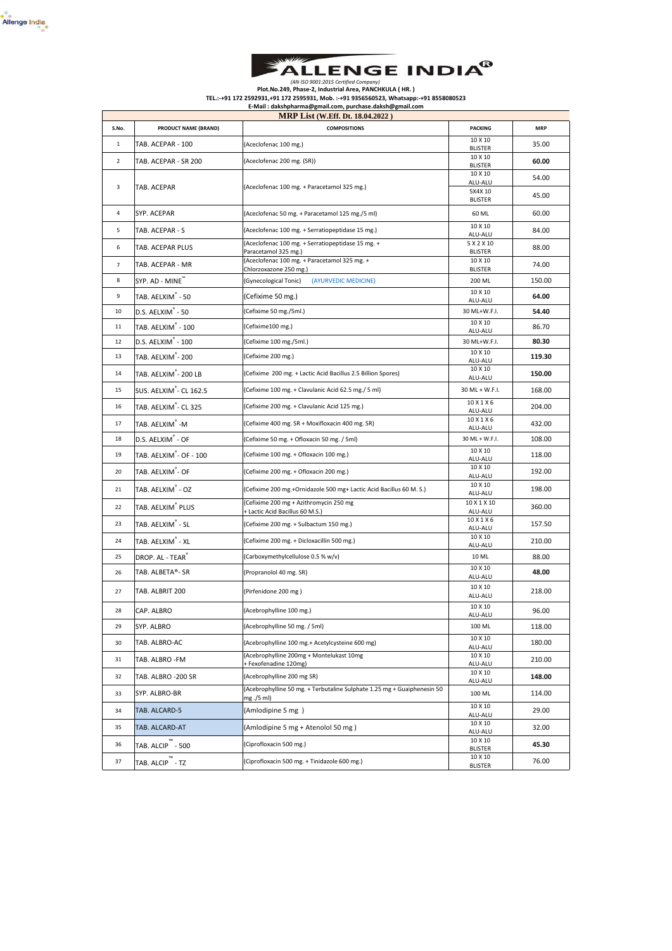



## AN ISO 9001:2015 Certified Company)<br>Plot.No.249, Phase-2, Industrial Area, PANCHKULA ( HR. )<br>TEL.:-+91 172 2592931,+91 172 25959531, Mob. :-+91 9356560523, Whatsapp:-+91 8558080523<br>E-Mail : dakshpharma@gmail.com, purchase.

|                |                                     | <b>MRP List (W.Eff. Dt. 18.04.2022)</b>                                               |                              |            |
|----------------|-------------------------------------|---------------------------------------------------------------------------------------|------------------------------|------------|
| S.No.          | PRODUCT NAME (BRAND)                | <b>COMPOSITIONS</b>                                                                   | <b>PACKING</b>               | <b>MRP</b> |
| $\mathbf{1}$   | TAB. ACEPAR - 100                   | (Aceclofenac 100 mg.)                                                                 | 10 X 10<br><b>BLISTER</b>    | 35.00      |
| $\overline{2}$ | TAB. ACEPAR - SR 200                | (Aceclofenac 200 mg. (SR))                                                            | 10 X 10<br><b>BLISTER</b>    | 60.00      |
|                |                                     |                                                                                       | 10 X 10                      | 54.00      |
| 3              | TAB. ACEPAR                         | (Aceclofenac 100 mg. + Paracetamol 325 mg.)                                           | ALU-ALU<br>5X4X 10           | 45.00      |
|                |                                     |                                                                                       | <b>BLISTER</b>               |            |
| 4              | SYP. ACEPAR                         | (Aceclofenac 50 mg. + Paracetamol 125 mg./5 ml)                                       | 60 ML                        | 60.00      |
| 5              | TAB. ACEPAR - S                     | (Aceclofenac 100 mg. + Serratiopeptidase 15 mg.)                                      | 10 X 10<br>ALU-ALU           | 84.00      |
| 6              | TAB. ACEPAR PLUS                    | (Aceclofenac 100 mg. + Serratiopeptidase 15 mg. +<br>Paracetamol 325 mg.)             | 5 X 2 X 10<br><b>BLISTER</b> | 88.00      |
| $\overline{7}$ | TAB. ACEPAR - MR                    | (Aceclofenac 100 mg. + Paracetamol 325 mg. +<br>Chlorzoxazone 250 mg.)                | 10 X 10<br><b>BLISTER</b>    | 74.00      |
| 8              | SYP. AD - MINE"                     | (Gynecological Tonic)<br>(AYURVEDIC MEDICINE)                                         | 200 ML                       | 150.00     |
| 9              | TAB. AELXIM - 50                    | (Cefixime 50 mg.)                                                                     | 10 X 10<br>ALU-ALU           | 64.00      |
| 10             | D.S. AELXIM - 50                    | (Cefixime 50 mg./5ml.)                                                                | 30 ML+W.F.I.                 | 54.40      |
| 11             | TAB. AELXIM - 100                   | (Cefixime100 mg.)                                                                     | 10 X 10<br>ALU-ALU           | 86.70      |
| 12             | D.S. AELXIM - 100                   | (Cefixime 100 mg./5ml.)                                                               | 30 ML+W.F.I.                 | 80.30      |
| 13             | TAB. AELXIM <sup>"</sup> - 200      | (Cefixime 200 mg.)                                                                    | 10 X 10<br>ALU-ALU           | 119.30     |
| 14             | TAB. AELXIM <sup>®</sup> -200 LB    | (Cefixime 200 mg. + Lactic Acid Bacillus 2.5 Billion Spores)                          | 10 X 10<br>ALU-ALU           | 150.00     |
| 15             | SUS. AELXIM <sup>"</sup> - CL 162.5 | (Cefixime 100 mg. + Clavulanic Acid 62.5 mg./ 5 ml)                                   | 30 ML + W.F.I.               | 168.00     |
| 16             | TAB. AELXIM <sup>®</sup> - CL 325   | (Cefixime 200 mg. + Clavulanic Acid 125 mg.)                                          | 10 X 1 X 6<br>ALU-ALU        | 204.00     |
| 17             | TAB. AELXIM <sup>"</sup> -M         | (Cefixime 400 mg. SR + Moxifloxacin 400 mg. SR)                                       | 10 X 1 X 6<br>ALU-ALU        | 432.00     |
| 18             | D.S. AELXIM <sup>®</sup> - OF       | (Cefixime 50 mg. + Ofloxacin 50 mg. / 5ml)                                            | 30 ML + W.F.I.               | 108.00     |
| 19             | TAB. AELXIM - OF - 100              | (Cefixime 100 mg. + Ofloxacin 100 mg.)                                                | 10 X 10<br>ALU-ALU           | 118.00     |
| 20             | TAB. AELXIM - OF                    | (Cefixime 200 mg. + Ofloxacin 200 mg.)                                                | 10 X 10<br>ALU-ALU           | 192.00     |
| 21             | TAB. AELXIM - OZ                    | (Cefixime 200 mg.+Ornidazole 500 mg+ Lactic Acid Bacillus 60 M. S.)                   | 10 X 10<br>ALU-ALU           | 198.00     |
| 22             | TAB. AELXIM <sup>®</sup> PLUS       | (Cefixime 200 mg + Azithromycin 250 mg<br>+ Lactic Acid Bacillus 60 M.S.)             | 10 X 1 X 10<br>ALU-ALU       | 360.00     |
| 23             | TAB. AELXIM - SL                    | (Cefixime 200 mg. + Sulbactum 150 mg.)                                                | 10 X 1 X 6<br>ALU-ALU        | 157.50     |
| 24             | TAB. AELXIM <sup>®</sup> - XL       | (Cefixime 200 mg. + Dicloxacillin 500 mg.)                                            | 10 X 10<br>ALU-ALU           | 210.00     |
| 25             | DROP. AL - TEAR                     | (Carboxymethylcellulose 0.5 % w/v)                                                    | 10 ML                        | 88.00      |
| 26             | TAB. ALBETA®- SR                    | (Propranolol 40 mg. SR)                                                               | 10 X 10<br>ALU-ALU           | 48.00      |
| 27             | TAB. ALBRIT 200                     | (Pirfenidone 200 mg)                                                                  | 10 X 10<br>ALU-ALU           | 218.00     |
| 28             | CAP. ALBRO                          | (Acebrophylline 100 mg.)                                                              | 10 X 10<br>ALU-ALU           | 96.00      |
| 29             | SYP. ALBRO                          | (Acebrophylline 50 mg. / 5ml)                                                         | 100 ML                       | 118.00     |
| 30             | TAB. ALBRO-AC                       | (Acebrophylline 100 mg.+ Acetylcysteine 600 mg)                                       | 10 X 10<br>ALU-ALU           | 180.00     |
| 31             | TAB. ALBRO - FM                     | (Acebrophylline 200mg + Montelukast 10mg<br>+ Fexofenadine 120mg)                     | 10 X 10<br>ALU-ALU           | 210.00     |
| 32             | TAB. ALBRO -200 SR                  | (Acebrophylline 200 mg SR)                                                            | 10 X 10<br>ALU-ALU           | 148.00     |
| 33             | SYP. ALBRO-BR                       | (Acebrophylline 50 mg. + Terbutaline Sulphate 1.25 mg + Guaiphenesin 50<br>mg ./5 ml) | 100 ML                       | 114.00     |
| 34             | TAB. ALCARD-5                       | (Amlodipine 5 mg)                                                                     | 10 X 10<br>ALU-ALU           | 29.00      |
| 35             | TAB. ALCARD-AT                      | (Amlodipine 5 mg + Atenolol 50 mg)                                                    | 10 X 10<br>ALU-ALU           | 32.00      |
| 36             | TAB. ALCIP - 500                    | (Ciprofloxacin 500 mg.)                                                               | 10 X 10<br><b>BLISTER</b>    | 45.30      |
| 37             | TAB. ALCIP - TZ                     | (Ciprofloxacin 500 mg. + Tinidazole 600 mg.)                                          | 10 X 10<br><b>BLISTER</b>    | 76.00      |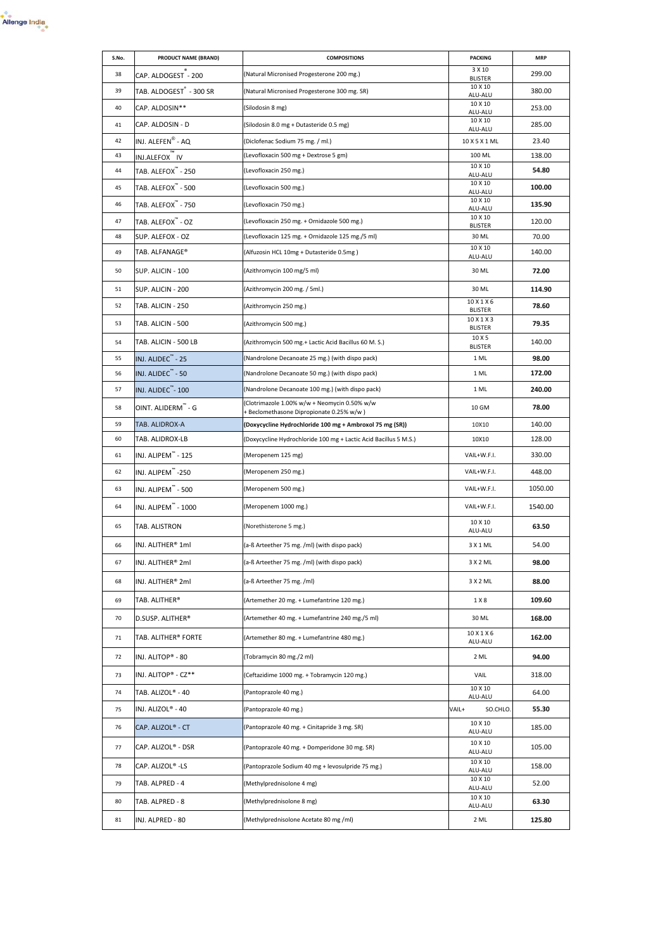

| S.No. | PRODUCT NAME (BRAND)                 | <b>COMPOSITIONS</b>                                                                      | <b>PACKING</b>               | <b>MRP</b> |
|-------|--------------------------------------|------------------------------------------------------------------------------------------|------------------------------|------------|
| 38    | CAP. ALDOGEST - 200                  | (Natural Micronised Progesterone 200 mg.)                                                | 3 X 10<br><b>BLISTER</b>     | 299.00     |
| 39    | TAB. ALDOGEST <sup>"</sup> - 300 SR  | (Natural Micronised Progesterone 300 mg. SR)                                             | 10 X 10<br>ALU-ALU           | 380.00     |
| 40    | CAP. ALDOSIN**                       | (Silodosin 8 mg)                                                                         | 10 X 10<br>ALU-ALU           | 253.00     |
| 41    | CAP. ALDOSIN - D                     | (Silodosin 8.0 mg + Dutasteride 0.5 mg)                                                  | 10 X 10<br>ALU-ALU           | 285.00     |
| 42    | INJ. ALEFEN® - AQ                    | (Diclofenac Sodium 75 mg. / ml.)                                                         | 10 X 5 X 1 ML                | 23.40      |
| 43    | INJ.ALEFOX IV                        | (Levofloxacin 500 mg + Dextrose 5 gm)                                                    | 100 ML                       | 138.00     |
| 44    | <b>TAB. ALEFOX<sup>"</sup> - 250</b> | (Levofloxacin 250 mg.)                                                                   | 10 X 10<br>ALU-ALU           | 54.80      |
| 45    | TAB. ALEFOX <sup>"</sup> - 500       | (Levofloxacin 500 mg.)                                                                   | 10 X 10<br>ALU-ALU           | 100.00     |
| 46    | <b>TAB. ALEFOX<sup>"</sup> - 750</b> | (Levofloxacin 750 mg.)                                                                   | 10 X 10<br>ALU-ALU           | 135.90     |
| 47    | TAB. ALEFOX <sup>"</sup> - OZ        | (Levofloxacin 250 mg. + Ornidazole 500 mg.)                                              | 10 X 10<br><b>BLISTER</b>    | 120.00     |
| 48    | SUP. ALEFOX - OZ                     | (Levofloxacin 125 mg. + Ornidazole 125 mg./5 ml)                                         | 30 ML                        | 70.00      |
| 49    | TAB. ALFANAGE®                       | (Alfuzosin HCL 10mg + Dutasteride 0.5mg)                                                 | 10 X 10<br>ALU-ALU           | 140.00     |
| 50    | SUP. ALICIN - 100                    | (Azithromycin 100 mg/5 ml)                                                               | 30 ML                        | 72.00      |
| 51    | SUP. ALICIN - 200                    | (Azithromycin 200 mg. / 5ml.)                                                            | 30 ML                        | 114.90     |
| 52    | TAB. ALICIN - 250                    | (Azithromycin 250 mg.)                                                                   | 10 X 1 X 6<br><b>BLISTER</b> | 78.60      |
| 53    | TAB. ALICIN - 500                    | (Azithromycin 500 mg.)                                                                   | 10 X 1 X 3<br><b>BLISTER</b> | 79.35      |
| 54    | TAB. ALICIN - 500 LB                 | (Azithromycin 500 mg.+ Lactic Acid Bacillus 60 M.S.)                                     | 10 X 5<br><b>BLISTER</b>     | 140.00     |
| 55    | INJ. ALIDEC <sup>™</sup> - 25        | (Nandrolone Decanoate 25 mg.) (with dispo pack)                                          | 1 ML                         | 98.00      |
| 56    | INJ. ALIDEC <sup>"</sup> - 50        | (Nandrolone Decanoate 50 mg.) (with dispo pack)                                          | 1 ML                         | 172.00     |
| 57    | INJ. ALIDEC <sup>"</sup> -100        | (Nandrolone Decanoate 100 mg.) (with dispo pack)                                         | 1 ML                         | 240.00     |
| 58    | OINT. ALIDERM <sup>"</sup> - G       | (Clotrimazole 1.00% w/w + Neomycin 0.50% w/w<br>+ Beclomethasone Dipropionate 0.25% w/w) | 10 GM                        | 78.00      |
| 59    | TAB. ALIDROX-A                       | (Doxycycline Hydrochloride 100 mg + Ambroxol 75 mg (SR))                                 | 10X10                        | 140.00     |
| 60    | TAB. ALIDROX-LB                      | (Doxycycline Hydrochloride 100 mg + Lactic Acid Bacillus 5 M.S.)                         | 10X10                        | 128.00     |
| 61    | INJ. ALIPEM <sup>"</sup> - 125       | (Meropenem 125 mg)                                                                       | VAIL+W.F.I.                  | 330.00     |
| 62    | INJ. ALIPEM <sup>"</sup> -250        | (Meropenem 250 mg.)                                                                      | VAIL+W.F.I.                  | 448.00     |
| 63    | INJ. ALIPEM <sup>"</sup> - 500       | (Meropenem 500 mg.)                                                                      | VAIL+W.F.I.                  | 1050.00    |
| 64    | INJ. ALIPEM <sup>"</sup> - 1000      | (Meropenem 1000 mg.)                                                                     | VAIL+W.F.I.                  | 1540.00    |
| 65    | TAB. ALISTRON                        | (Norethisterone 5 mg.)                                                                   | 10 X 10<br>ALU-ALU           | 63.50      |
| 66    | INJ. ALITHER® 1ml                    | (a-ß Arteether 75 mg. /ml) (with dispo pack)                                             | 3 X 1 ML                     | 54.00      |
| 67    | INJ. ALITHER® 2ml                    | (a-ß Arteether 75 mg. /ml) (with dispo pack)                                             | 3 X 2 ML                     | 98.00      |
| 68    | INJ. ALITHER® 2ml                    | (a-ß Arteether 75 mg. /ml)                                                               | 3 X 2 ML                     | 88.00      |
| 69    | TAB. ALITHER®                        | (Artemether 20 mg. + Lumefantrine 120 mg.)                                               | 1 X 8                        | 109.60     |
| 70    | D.SUSP. ALITHER®                     | (Artemether 40 mg. + Lumefantrine 240 mg./5 ml)                                          | 30 ML                        | 168.00     |
| 71    | TAB. ALITHER® FORTE                  | (Artemether 80 mg. + Lumefantrine 480 mg.)                                               | 10 X 1 X 6<br>ALU-ALU        | 162.00     |
| 72    | INJ. ALITOP® - 80                    | (Tobramycin 80 mg./2 ml)                                                                 | 2 ML                         | 94.00      |
| 73    | INJ. ALITOP® - CZ**                  | (Ceftazidime 1000 mg. + Tobramycin 120 mg.)                                              | VAIL                         | 318.00     |
| 74    | TAB. ALIZOL® - 40                    | (Pantoprazole 40 mg.)                                                                    | 10 X 10<br>ALU-ALU           | 64.00      |
| 75    | INJ. ALIZOL® - 40                    | (Pantoprazole 40 mg.)                                                                    | VAIL+<br>SO.CHLO.            | 55.30      |
| 76    | CAP. ALIZOL® - CT                    | (Pantoprazole 40 mg. + Cinitapride 3 mg. SR)                                             | 10 X 10<br>ALU-ALU           | 185.00     |
| 77    | CAP. ALIZOL® - DSR                   | (Pantoprazole 40 mg. + Domperidone 30 mg. SR)                                            | 10 X 10<br>ALU-ALU           | 105.00     |
| 78    | CAP. ALIZOL® -LS                     | (Pantoprazole Sodium 40 mg + levosulpride 75 mg.)                                        | 10 X 10<br>ALU-ALU           | 158.00     |
| 79    | TAB. ALPRED - 4                      | (Methylprednisolone 4 mg)                                                                | 10 X 10<br>ALU-ALU           | 52.00      |
| 80    | TAB. ALPRED - 8                      | (Methylprednisolone 8 mg)                                                                | 10 X 10<br>ALU-ALU           | 63.30      |
| 81    | INJ. ALPRED - 80                     | (Methylprednisolone Acetate 80 mg /ml)                                                   | 2 ML                         | 125.80     |
|       |                                      |                                                                                          |                              |            |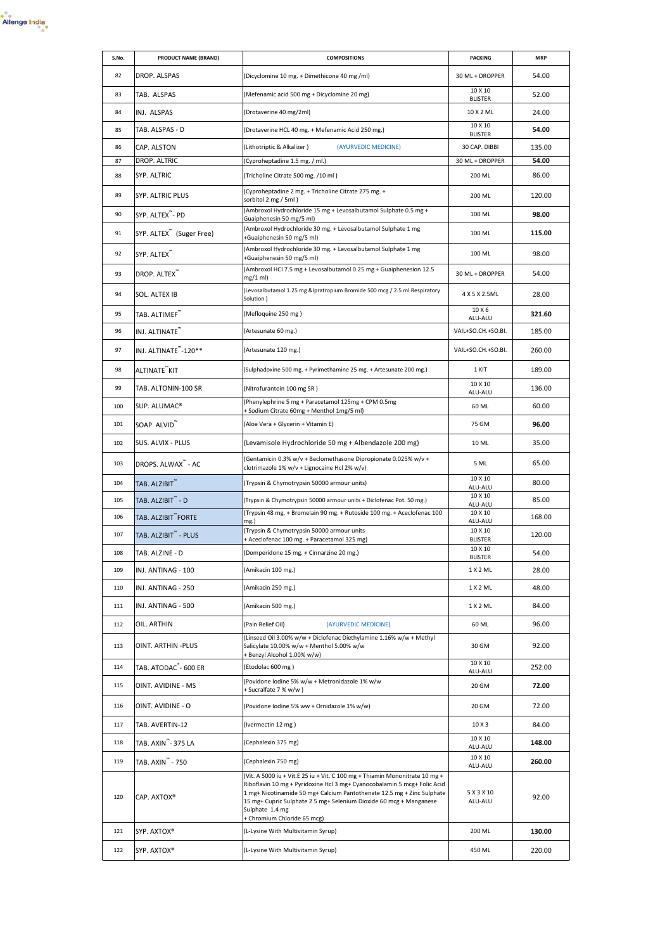

| S.No. | PRODUCT NAME (BRAND)                 | <b>COMPOSITIONS</b>                                                                                                                                                                                                                                                                                                                                        | <b>PACKING</b>            | <b>MRP</b> |
|-------|--------------------------------------|------------------------------------------------------------------------------------------------------------------------------------------------------------------------------------------------------------------------------------------------------------------------------------------------------------------------------------------------------------|---------------------------|------------|
| 82    | DROP. ALSPAS                         | (Dicyclomine 10 mg. + Dimethicone 40 mg /ml)                                                                                                                                                                                                                                                                                                               | 30 ML + DROPPER           | 54.00      |
| 83    | TAB. ALSPAS                          | (Mefenamic acid 500 mg + Dicyclomine 20 mg)                                                                                                                                                                                                                                                                                                                | 10 X 10<br><b>BLISTER</b> | 52.00      |
| 84    | INJ. ALSPAS                          | (Drotaverine 40 mg/2ml)                                                                                                                                                                                                                                                                                                                                    | 10 X 2 ML                 | 24.00      |
| 85    | TAB. ALSPAS - D                      | (Drotaverine HCL 40 mg. + Mefenamic Acid 250 mg.)                                                                                                                                                                                                                                                                                                          | 10 X 10<br><b>BLISTER</b> | 54.00      |
| 86    | CAP. ALSTON                          | (Lithotriptic & Alkalizer)<br>(AYURVEDIC MEDICINE)                                                                                                                                                                                                                                                                                                         | 30 CAP. DIBBI             | 135.00     |
| 87    | DROP. ALTRIC                         | (Cyproheptadine 1.5 mg. / ml.)                                                                                                                                                                                                                                                                                                                             | 30 ML + DROPPER           | 54.00      |
| 88    | SYP. ALTRIC                          | (Tricholine Citrate 500 mg. /10 ml)                                                                                                                                                                                                                                                                                                                        | 200 ML                    | 86.00      |
| 89    | SYP. ALTRIC PLUS                     | (Cyproheptadine 2 mg. + Tricholine Citrate 275 mg. +<br>sorbitol 2 mg / 5ml)                                                                                                                                                                                                                                                                               | 200 ML                    | 120.00     |
| 90    | SYP. ALTEX"- PD                      | (Ambroxol Hydrochloride 15 mg + Levosalbutamol Sulphate 0.5 mg +<br>Guaiphenesin 50 mg/5 ml)                                                                                                                                                                                                                                                               | 100 ML                    | 98.00      |
| 91    | SYP. ALTEX <sup>"</sup> (Suger Free) | (Ambroxol Hydrochloride 30 mg. + Levosalbutamol Sulphate 1 mg<br>+Guaiphenesin 50 mg/5 ml)                                                                                                                                                                                                                                                                 | 100 ML                    | 115.00     |
| 92    | SYP. ALTEX <sup>"</sup>              | (Ambroxol Hydrochloride 30 mg. + Levosalbutamol Sulphate 1 mg<br>+Guaiphenesin 50 mg/5 ml)                                                                                                                                                                                                                                                                 | 100 ML                    | 98.00      |
| 93    | DROP. ALTEX <sup>"</sup>             | (Ambroxol HCI 7.5 mg + Levosalbutamol 0.25 mg + Guaiphenesion 12.5<br>mg/1 ml)                                                                                                                                                                                                                                                                             | 30 ML + DROPPER           | 54.00      |
| 94    | SOL. ALTEX IB                        | (Levosalbutamol 1.25 mg &Ipratropium Bromide 500 mcg / 2.5 ml Respiratory<br>Solution )                                                                                                                                                                                                                                                                    | 4 X 5 X 2.5ML             | 28.00      |
| 95    | TAB. ALTIMEF <sup>"*</sup>           | (Mefloquine 250 mg)                                                                                                                                                                                                                                                                                                                                        | 10 X 6<br>ALU-ALU         | 321.60     |
| 96    | INJ. ALTINATE <sup>™</sup>           | (Artesunate 60 mg.)                                                                                                                                                                                                                                                                                                                                        | VAIL+SO.CH.+SO.BI.        | 185.00     |
| 97    | INJ. ALTINATE <sup>"</sup> -120**    | (Artesunate 120 mg.)                                                                                                                                                                                                                                                                                                                                       | VAIL+SO.CH.+SO.BI.        | 260.00     |
| 98    | ALTINATE™KIT                         | (Sulphadoxine 500 mg. + Pyrimethamine 25 mg. + Artesunate 200 mg.)                                                                                                                                                                                                                                                                                         | 1 KIT                     | 189.00     |
| 99    | TAB. ALTONIN-100 SR                  | (Nitrofurantoin 100 mg SR)                                                                                                                                                                                                                                                                                                                                 | 10 X 10<br>ALU-ALU        | 136.00     |
| 100   | SUP. ALUMAC®                         | (Phenylephrine 5 mg + Paracetamol 125mg + CPM 0.5mg<br>+ Sodium Citrate 60mg + Menthol 1mg/5 ml)                                                                                                                                                                                                                                                           | 60 ML                     | 60.00      |
| 101   | SOAP ALVID"                          | (Aloe Vera + Glycerin + Vitamin E)                                                                                                                                                                                                                                                                                                                         | 75 GM                     | 96.00      |
| 102   | SUS. ALVIX - PLUS                    | (Levamisole Hydrochloride 50 mg + Albendazole 200 mg)                                                                                                                                                                                                                                                                                                      | 10 ML                     | 35.00      |
| 103   | DROPS. ALWAX <sup>™</sup> - AC       | (Gentamicin 0.3% w/v + Beclomethasone Dipropionate 0.025% w/v +<br>clotrimazole 1% w/v + Lignocaine Hcl 2% w/v)                                                                                                                                                                                                                                            | 5 ML                      | 65.00      |
| 104   | TAB. ALZIBIT <sup>"</sup>            | (Trypsin & Chymotrypsin 50000 armour units)                                                                                                                                                                                                                                                                                                                | 10 X 10<br>ALU-ALU        | 80.00      |
| 105   | TAB. ALZIBIT <sup>"</sup> - D        | (Trypsin & Chymotrypsin 50000 armour units + Diclofenac Pot. 50 mg.)                                                                                                                                                                                                                                                                                       | 10 X 10<br>ALU-ALU        | 85.00      |
| 106   | TAB. ALZIBIT FORTE                   | (Trypsin 48 mg. + Bromelain 90 mg. + Rutoside 100 mg. + Aceclofenac 100<br>mg.)                                                                                                                                                                                                                                                                            | 10 X 10<br>ALU-ALU        | 168.00     |
| 107   | TAB. ALZIBIT <sup>"</sup> - PLUS     | (Trypsin & Chymotrypsin 50000 armour units<br>+ Aceclofenac 100 mg. + Paracetamol 325 mg)                                                                                                                                                                                                                                                                  | 10 X 10<br><b>BLISTER</b> | 120.00     |
| 108   | TAB. ALZINE - D                      | (Domperidone 15 mg. + Cinnarzine 20 mg.)                                                                                                                                                                                                                                                                                                                   | 10 X 10<br><b>BLISTER</b> | 54.00      |
| 109   | INJ. ANTINAG - 100                   | (Amikacin 100 mg.)                                                                                                                                                                                                                                                                                                                                         | 1 X 2 ML                  | 28.00      |
| 110   | INJ. ANTINAG - 250                   | (Amikacin 250 mg.)                                                                                                                                                                                                                                                                                                                                         | 1 X 2 ML                  | 48.00      |
| 111   | INJ. ANTINAG - 500                   | (Amikacin 500 mg.)                                                                                                                                                                                                                                                                                                                                         | 1 X 2 ML                  | 84.00      |
| 112   | OIL. ARTHIN                          | (Pain Relief Oil)<br>(AYURVEDIC MEDICINE)                                                                                                                                                                                                                                                                                                                  | 60 ML                     | 96.00      |
| 113   | OINT. ARTHIN -PLUS                   | (Linseed Oil 3.00% w/w + Diclofenac Diethylamine 1.16% w/w + Methyl<br>Salicylate 10.00% w/w + Menthol 5.00% w/w<br>+ Benzyl Alcohol 1.00% w/w)                                                                                                                                                                                                            | 30 GM                     | 92.00      |
| 114   | TAB. ATODAC <sup>"</sup> - 600 ER    | (Etodolac 600 mg)                                                                                                                                                                                                                                                                                                                                          | 10 X 10<br>ALU-ALU        | 252.00     |
| 115   | OINT. AVIDINE - MS                   | (Povidone Iodine 5% w/w + Metronidazole 1% w/w<br>+ Sucralfate 7 % w/w )                                                                                                                                                                                                                                                                                   | 20 GM                     | 72.00      |
| 116   | OINT. AVIDINE - O                    | (Povidone Iodine 5% ww + Ornidazole 1% w/w)                                                                                                                                                                                                                                                                                                                | 20 GM                     | 72.00      |
| 117   | TAB. AVERTIN-12                      | (Ivermectin 12 mg)                                                                                                                                                                                                                                                                                                                                         | 10 X 3                    | 84.00      |
| 118   | TAB. AXIN <sup>"</sup> - 375 LA      | (Cephalexin 375 mg)                                                                                                                                                                                                                                                                                                                                        | 10 X 10<br>ALU-ALU        | 148.00     |
| 119   | TAB. AXIN™ - 750                     | (Cephalexin 750 mg)                                                                                                                                                                                                                                                                                                                                        | 10 X 10<br>ALU-ALU        | 260.00     |
| 120   | CAP. AXTOX®                          | (Vit. A 5000 iu + Vit. E 25 iu + Vit. C 100 mg + Thiamin Mononitrate 10 mg +<br>Riboflavin 10 mg + Pyridoxine Hcl 3 mg+ Cyanocobalamin 5 mcg+ Folic Acid<br>1 mg+ Nicotinamide 50 mg+ Calcium Pantothenate 12.5 mg + Zinc Sulphate<br>15 mg+ Cupric Sulphate 2.5 mg+ Selenium Dioxide 60 mcg + Manganese<br>Sulphate 1.4 mg<br>+ Chromium Chloride 65 mcg) | 5 X 3 X 10<br>ALU-ALU     | 92.00      |
| 121   | SYP. AXTOX®                          | (L-Lysine With Multivitamin Syrup)                                                                                                                                                                                                                                                                                                                         | 200 ML                    | 130.00     |
| 122   | SYP. AXTOX®                          | (L-Lysine With Multivitamin Syrup)                                                                                                                                                                                                                                                                                                                         | 450 ML                    | 220.00     |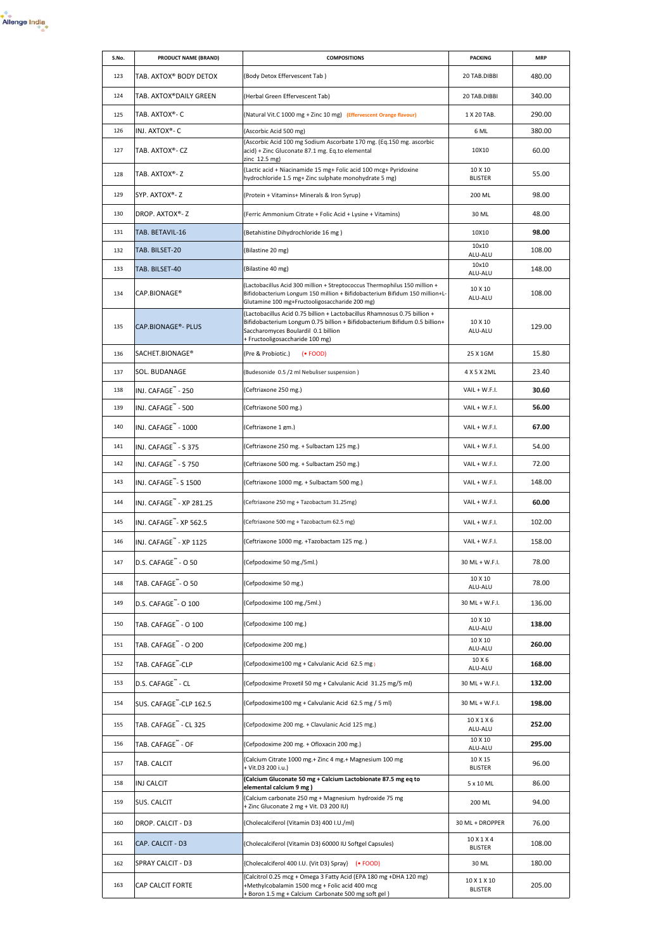

| S.No. | <b>PRODUCT NAME (BRAND)</b>          | <b>COMPOSITIONS</b>                                                                                                                                                                                                               | <b>PACKING</b>                | <b>MRP</b> |
|-------|--------------------------------------|-----------------------------------------------------------------------------------------------------------------------------------------------------------------------------------------------------------------------------------|-------------------------------|------------|
| 123   | TAB. AXTOX® BODY DETOX               | (Body Detox Effervescent Tab)                                                                                                                                                                                                     | 20 TAB.DIBBI                  | 480.00     |
| 124   | TAB. AXTOX®DAILY GREEN               | (Herbal Green Effervescent Tab)                                                                                                                                                                                                   | 20 TAB.DIBBI                  | 340.00     |
| 125   | TAB. AXTOX®- C                       | (Natural Vit.C 1000 mg + Zinc 10 mg) (Effervescent Orange flavour)                                                                                                                                                                | 1 X 20 TAB.                   | 290.00     |
| 126   | INJ. AXTOX®- C                       | (Ascorbic Acid 500 mg)                                                                                                                                                                                                            | 6 ML                          | 380.00     |
| 127   | TAB. AXTOX®- CZ                      | (Ascorbic Acid 100 mg Sodium Ascorbate 170 mg. (Eq.150 mg. ascorbic<br>acid) + Zinc Gluconate 87.1 mg. Eq.to elemental<br>zinc 12.5 mg)                                                                                           | 10X10                         | 60.00      |
| 128   | TAB. AXTOX®-Z                        | (Lactic acid + Niacinamide 15 mg+ Folic acid 100 mcg+ Pyridoxine<br>hydrochloride 1.5 mg+ Zinc sulphate monohydrate 5 mg)                                                                                                         | 10 X 10<br><b>BLISTER</b>     | 55.00      |
| 129   | SYP. AXTOX®- Z                       | (Protein + Vitamins+ Minerals & Iron Syrup)                                                                                                                                                                                       | 200 ML                        | 98.00      |
| 130   | DROP. AXTOX®-Z                       | (Ferric Ammonium Citrate + Folic Acid + Lysine + Vitamins)                                                                                                                                                                        | 30 ML                         | 48.00      |
| 131   | TAB. BETAVIL-16                      | (Betahistine Dihydrochloride 16 mg)                                                                                                                                                                                               | 10X10<br>10×10                | 98.00      |
| 132   | TAB. BILSET-20                       | (Bilastine 20 mg)                                                                                                                                                                                                                 | ALU-ALU                       | 108.00     |
| 133   | TAB. BILSET-40                       | (Bilastine 40 mg)                                                                                                                                                                                                                 | 10x10<br>ALU-ALU              | 148.00     |
| 134   | CAP.BIONAGE®                         | (Lactobacillus Acid 300 million + Streptococcus Thermophilus 150 million +<br>Bifidobacterium Longum 150 million + Bifidobacterium Bifidum 150 million+L-<br>Glutamine 100 mg+Fructooligosaccharide 200 mg)                       | 10 X 10<br>ALU-ALU            | 108.00     |
| 135   | <b>CAP.BIONAGE®- PLUS</b>            | (Lactobacillus Acid 0.75 billion + Lactobacillus Rhamnosus 0.75 billion +<br>Bifidobacterium Longum 0.75 billion + Bifidobacterium Bifidum 0.5 billion+<br>Saccharomyces Boulardil 0.1 billion<br>+ Fructooligosaccharide 100 mg) | 10 X 10<br>ALU-ALU            | 129.00     |
| 136   | SACHET.BIONAGE®                      | (Pre & Probiotic.) (• FOOD)                                                                                                                                                                                                       | 25 X 1GM                      | 15.80      |
| 137   | SOL. BUDANAGE                        | (Budesonide 0.5 /2 ml Nebuliser suspension)                                                                                                                                                                                       | 4 X 5 X 2ML                   | 23.40      |
| 138   | INJ. CAFAGE - 250                    | (Ceftriaxone 250 mg.)                                                                                                                                                                                                             | VAIL + W.F.I.                 | 30.60      |
| 139   | INJ. CAFAGE" - 500                   | (Ceftriaxone 500 mg.)                                                                                                                                                                                                             | VAIL + W.F.I.                 | 56.00      |
| 140   | INJ. CAFAGE" - 1000                  | (Ceftriaxone 1 gm.)                                                                                                                                                                                                               | VAIL + W.F.I.                 | 67.00      |
| 141   | INJ. CAFAGE <sup>"</sup> - S 375     | (Ceftriaxone 250 mg. + Sulbactam 125 mg.)                                                                                                                                                                                         | VAIL + W.F.I.                 | 54.00      |
| 142   | INJ. CAFAGE" - S 750                 | (Ceftriaxone 500 mg. + Sulbactam 250 mg.)                                                                                                                                                                                         | VAIL + W.F.I.                 | 72.00      |
| 143   | INJ. CAFAGE" - S 1500                | (Ceftriaxone 1000 mg. + Sulbactam 500 mg.)                                                                                                                                                                                        | VAIL + W.F.I.                 | 148.00     |
| 144   | INJ. CAFAGE <sup>™</sup> - XP 281.25 | (Ceftriaxone 250 mg + Tazobactum 31.25mg)                                                                                                                                                                                         | VAIL + W.F.I.                 | 60.00      |
| 145   | INJ. CAFAGE"- XP 562.5               | (Ceftriaxone 500 mg + Tazobactum 62.5 mg)                                                                                                                                                                                         | VAIL + W.F.I.                 | 102.00     |
| 146   | INJ. CAFAGE <sup>"</sup> - XP 1125   | (Ceftriaxone 1000 mg. +Tazobactam 125 mg.)                                                                                                                                                                                        | VAIL + W.F.I.                 | 158.00     |
| 147   | D.S. CAFAGE - 0 50                   | (Cefpodoxime 50 mg./5ml.)                                                                                                                                                                                                         | 30 ML + W.F.I.                | 78.00      |
| 148   | TAB. CAFAGE"- O 50                   | (Cefpodoxime 50 mg.)                                                                                                                                                                                                              | 10 X 10<br>ALU-ALU            | 78.00      |
| 149   | D.S. CAFAGE"- O 100                  | (Cefpodoxime 100 mg./5ml.)                                                                                                                                                                                                        | 30 ML + W.F.I.                | 136.00     |
| 150   | TAB. CAFAGE <sup>"</sup> - O 100     | (Cefpodoxime 100 mg.)                                                                                                                                                                                                             | 10 X 10<br>ALU-ALU            | 138.00     |
| 151   | TAB. CAFAGE" - O 200                 | (Cefpodoxime 200 mg.)                                                                                                                                                                                                             | 10 X 10<br>ALU-ALU            | 260.00     |
| 152   | TAB. CAFAGE <sup>"</sup> -CLP        | (Cefpodoxime100 mg + Calvulanic Acid 62.5 mg)                                                                                                                                                                                     | 10 X 6<br>ALU-ALU             | 168.00     |
| 153   | D.S. CAFAGE" - CL                    | (Cefpodoxime Proxetil 50 mg + Calvulanic Acid 31.25 mg/5 ml)                                                                                                                                                                      | 30 ML + W.F.I.                | 132.00     |
| 154   | SUS. CAFAGE <sup>"</sup> -CLP 162.5  | (Cefpodoxime100 mg + Calvulanic Acid 62.5 mg / 5 ml)                                                                                                                                                                              | 30 ML + W.F.I.                | 198.00     |
| 155   | TAB. CAFAGE" - CL 325                | (Cefpodoxime 200 mg. + Clavulanic Acid 125 mg.)                                                                                                                                                                                   | 10 X 1 X 6<br>ALU-ALU         | 252.00     |
| 156   | TAB. CAFAGE" - OF                    | (Cefpodoxime 200 mg. + Ofloxacin 200 mg.)                                                                                                                                                                                         | 10 X 10<br>ALU-ALU            | 295.00     |
| 157   | TAB. CALCIT                          | (Calcium Citrate 1000 mg.+ Zinc 4 mg.+ Magnesium 100 mg<br>+ Vit.D3 200 i.u.)                                                                                                                                                     | 10 X 15<br><b>BLISTER</b>     | 96.00      |
| 158   | INJ CALCIT                           | (Calcium Gluconate 50 mg + Calcium Lactobionate 87.5 mg eq to<br>elemental calcium 9 mg )                                                                                                                                         | 5 x 10 ML                     | 86.00      |
| 159   | SUS. CALCIT                          | (Calcium carbonate 250 mg + Magnesium hydroxide 75 mg<br>+ Zinc Gluconate 2 mg + Vit. D3 200 IU)                                                                                                                                  | 200 ML                        | 94.00      |
| 160   | DROP. CALCIT - D3                    | (Cholecalciferol (Vitamin D3) 400 I.U./ml)                                                                                                                                                                                        | 30 ML + DROPPER               | 76.00      |
| 161   | CAP. CALCIT - D3                     | (Cholecalciferol (Vitamin D3) 60000 IU Softgel Capsules)                                                                                                                                                                          | 10 X 1 X 4<br><b>BLISTER</b>  | 108.00     |
| 162   | SPRAY CALCIT - D3                    | {Cholecalciferol 400 I.U. (Vit D3) Spray} (. FOOD)                                                                                                                                                                                | 30 ML                         | 180.00     |
| 163   | CAP CALCIT FORTE                     | (Calcitrol 0.25 mcg + Omega 3 Fatty Acid (EPA 180 mg +DHA 120 mg)<br>+Methylcobalamin 1500 mcg + Folic acid 400 mcg<br>+ Boron 1.5 mg + Calcium Carbonate 500 mg soft gel }                                                       | 10 X 1 X 10<br><b>BLISTER</b> | 205.00     |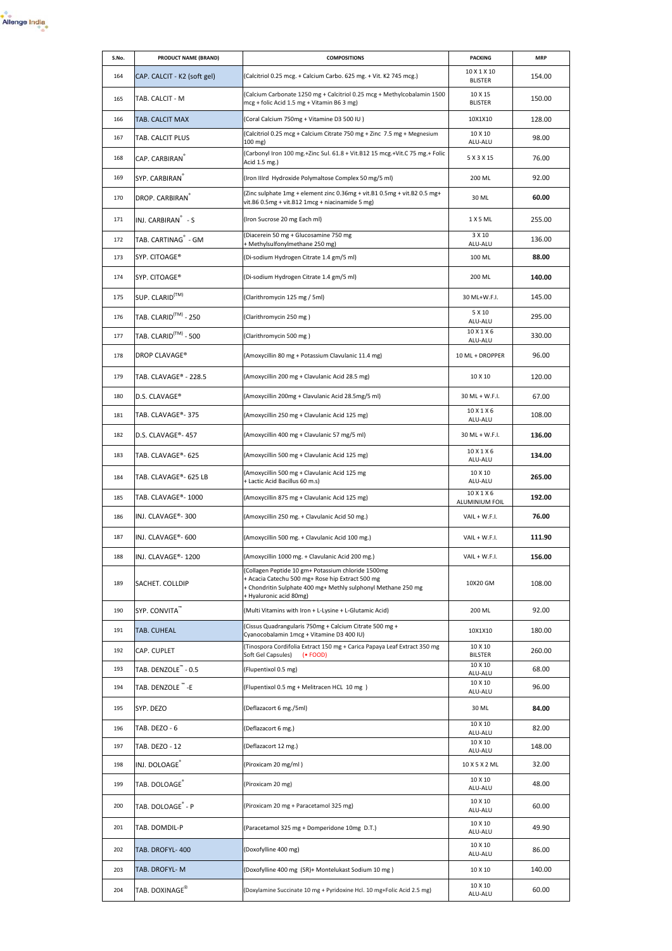

| S.No. | PRODUCT NAME (BRAND)                               | <b>COMPOSITIONS</b>                                                                                                                                                                                | <b>PACKING</b>                | <b>MRP</b> |
|-------|----------------------------------------------------|----------------------------------------------------------------------------------------------------------------------------------------------------------------------------------------------------|-------------------------------|------------|
| 164   | CAP. CALCIT - K2 (soft gel)                        | (Calcitriol 0.25 mcg. + Calcium Carbo. 625 mg. + Vit. K2 745 mcg.)                                                                                                                                 | 10 X 1 X 10<br><b>BLISTER</b> | 154.00     |
| 165   | TAB. CALCIT - M                                    | (Calcium Carbonate 1250 mg + Calcitriol 0.25 mcg + Methylcobalamin 1500<br>mcg + folic Acid 1.5 mg + Vitamin B6 3 mg)                                                                              | 10 X 15<br><b>BLISTER</b>     | 150.00     |
| 166   | TAB. CALCIT MAX                                    | (Coral Calcium 750mg + Vitamine D3 500 IU)                                                                                                                                                         | 10X1X10                       | 128.00     |
| 167   | TAB. CALCIT PLUS                                   | (Calcitriol 0.25 mcg + Calcium Citrate 750 mg + Zinc 7.5 mg + Megnesium<br>$100$ mg)                                                                                                               | 10 X 10<br>ALU-ALU            | 98.00      |
| 168   | CAP. CARBIRAN                                      | (Carbonyl Iron 100 mg.+Zinc Sul. 61.8 + Vit.B12 15 mcg.+Vit.C 75 mg.+ Folic<br>Acid 1.5 mg.)                                                                                                       | 5 X 3 X 15                    | 76.00      |
| 169   | SYP. CARBIRAN®                                     | (Iron IIIrd Hydroxide Polymaltose Complex 50 mg/5 ml)                                                                                                                                              | 200 ML                        | 92.00      |
| 170   | DROP. CARBIRAN                                     | (Zinc sulphate 1mg + element zinc 0.36mg + vit.B1 0.5mg + vit.B2 0.5 mg+<br>vit.B6 0.5mg + vit.B12 1mcg + niacinamide 5 mg)                                                                        | 30 ML                         | 60.00      |
| 171   | INJ. CARBIRAN ຶ - S                                | (Iron Sucrose 20 mg Each ml)                                                                                                                                                                       | 1 X 5 ML                      | 255.00     |
| 172   | TAB. CARTINAG <sup>"</sup> - GM                    | (Diacerein 50 mg + Glucosamine 750 mg<br>+ Methylsulfonylmethane 250 mg)                                                                                                                           | 3 X 10<br>ALU-ALU             | 136.00     |
| 173   | SYP. CITOAGE®                                      | (Di-sodium Hydrogen Citrate 1.4 gm/5 ml)                                                                                                                                                           | 100 ML                        | 88.00      |
| 174   | SYP. CITOAGE®                                      | (Di-sodium Hydrogen Citrate 1.4 gm/5 ml)                                                                                                                                                           | 200 ML                        | 140.00     |
| 175   | SUP. CLARID <sup>(TM)</sup>                        | (Clarithromycin 125 mg / 5ml)                                                                                                                                                                      | 30 ML+W.F.I.                  | 145.00     |
| 176   | TAB. CLARID $^{\text{\tiny{\textsf{(TM)}}}}$ - 250 | (Clarithromycin 250 mg)                                                                                                                                                                            | 5 X 10<br>ALU-ALU             | 295.00     |
| 177   | TAB. CLARID $^{\text{\tiny{\textsf{(TM)}}}}$ - 500 | (Clarithromycin 500 mg)                                                                                                                                                                            | 10 X 1 X 6<br>ALU-ALU         | 330.00     |
| 178   | DROP CLAVAGE®                                      | (Amoxycillin 80 mg + Potassium Clavulanic 11.4 mg)                                                                                                                                                 | 10 ML + DROPPER               | 96.00      |
| 179   | TAB. CLAVAGE® - 228.5                              | (Amoxycillin 200 mg + Clavulanic Acid 28.5 mg)                                                                                                                                                     | 10 X 10                       | 120.00     |
| 180   | D.S. CLAVAGE®                                      | (Amoxycillin 200mg + Clavulanic Acid 28.5mg/5 ml)                                                                                                                                                  | 30 ML + W.F.I.                | 67.00      |
| 181   | TAB. CLAVAGE®-375                                  | (Amoxycillin 250 mg + Clavulanic Acid 125 mg)                                                                                                                                                      | 10 X 1 X 6<br>ALU-ALU         | 108.00     |
| 182   | D.S. CLAVAGE®- 457                                 | (Amoxycillin 400 mg + Clavulanic 57 mg/5 ml)                                                                                                                                                       | 30 ML + W.F.I.                | 136.00     |
| 183   | TAB. CLAVAGE®- 625                                 | (Amoxycillin 500 mg + Clavulanic Acid 125 mg)                                                                                                                                                      | 10 X 1 X 6<br>ALU-ALU         | 134.00     |
| 184   | TAB. CLAVAGE®- 625 LB                              | (Amoxycillin 500 mg + Clavulanic Acid 125 mg<br>+ Lactic Acid Bacillus 60 m.s)                                                                                                                     | 10 X 10<br>ALU-ALU            | 265.00     |
| 185   | TAB. CLAVAGE®- 1000                                | (Amoxycillin 875 mg + Clavulanic Acid 125 mg)                                                                                                                                                      | 10 X 1 X 6<br>ALUMINIUM FOIL  | 192.00     |
| 186   | INJ. CLAVAGE®-300                                  | (Amoxycillin 250 mg. + Clavulanic Acid 50 mg.)                                                                                                                                                     | VAIL + W.F.I.                 | 76.00      |
| 187   | INJ. CLAVAGE®- 600                                 | (Amoxycillin 500 mg. + Clavulanic Acid 100 mg.)                                                                                                                                                    | VAIL + W.F.I.                 | 111.90     |
| 188   | INJ. CLAVAGE®- 1200                                | (Amoxycillin 1000 mg. + Clavulanic Acid 200 mg.)                                                                                                                                                   | VAIL + W.F.I.                 | 156.00     |
| 189   | SACHET. COLLDIP                                    | (Collagen Peptide 10 gm+ Potassium chloride 1500mg<br>+ Acacia Catechu 500 mg+ Rose hip Extract 500 mg<br>+ Chondritin Sulphate 400 mg+ Methly sulphonyl Methane 250 mg<br>+ Hyaluronic acid 80mg) | 10X20 GM                      | 108.00     |
| 190   | SYP. CONVITA"                                      | (Multi Vitamins with Iron + L-Lysine + L-Glutamic Acid)                                                                                                                                            | 200 ML                        | 92.00      |
| 191   | TAB. CUHEAL                                        | (Cissus Quadrangularis 750mg + Calcium Citrate 500 mg +<br>Cyanocobalamin 1mcg + Vitamine D3 400 IU)                                                                                               | 10X1X10                       | 180.00     |
| 192   | CAP. CUPLET                                        | (Tinospora Cordifolia Extract 150 mg + Carica Papaya Leaf Extract 350 mg<br>Soft Gel Capsules)<br>$(-$ FOOD)                                                                                       | 10 X 10<br><b>BILSTER</b>     | 260.00     |
| 193   | TAB. DENZOLE" - 0.5                                | (Flupentixol 0.5 mg)                                                                                                                                                                               | 10 X 10<br>ALU-ALU            | 68.00      |
| 194   | TAB. DENZOLE™-E                                    | (Flupentixol 0.5 mg + Melitracen HCL 10 mg)                                                                                                                                                        | 10 X 10<br>ALU-ALU            | 96.00      |
| 195   | SYP. DEZO                                          | (Deflazacort 6 mg./5ml)                                                                                                                                                                            | 30 ML                         | 84.00      |
| 196   | TAB. DEZO - 6                                      | (Deflazacort 6 mg.)                                                                                                                                                                                | 10 X 10<br>ALU-ALU            | 82.00      |
| 197   | TAB. DEZO - 12                                     | (Deflazacort 12 mg.)                                                                                                                                                                               | 10 X 10<br>ALU-ALU            | 148.00     |
| 198   | INJ. DOLOAGE                                       | (Piroxicam 20 mg/ml)                                                                                                                                                                               | 10 X 5 X 2 ML                 | 32.00      |
| 199   | TAB. DOLOAGE                                       | (Piroxicam 20 mg)                                                                                                                                                                                  | 10 X 10<br>ALU-ALU            | 48.00      |
| 200   | TAB. DOLOAGE <sup>®</sup> - P                      | (Piroxicam 20 mg + Paracetamol 325 mg)                                                                                                                                                             | 10 X 10<br>ALU-ALU            | 60.00      |
| 201   | TAB. DOMDIL-P                                      | (Paracetamol 325 mg + Domperidone 10mg D.T.)                                                                                                                                                       | 10 X 10<br>ALU-ALU            | 49.90      |
| 202   | TAB. DROFYL-400                                    | (Doxofylline 400 mg)                                                                                                                                                                               | 10 X 10<br>ALU-ALU            | 86.00      |
| 203   | TAB. DROFYL- M                                     | (Doxofylline 400 mg (SR)+ Montelukast Sodium 10 mg)                                                                                                                                                | 10 X 10                       | 140.00     |
| 204   | TAB. DOXINAGE $^\circledast$                       | (Doxylamine Succinate 10 mg + Pyridoxine Hcl. 10 mg+Folic Acid 2.5 mg)                                                                                                                             | 10 X 10<br>ALU-ALU            | 60.00      |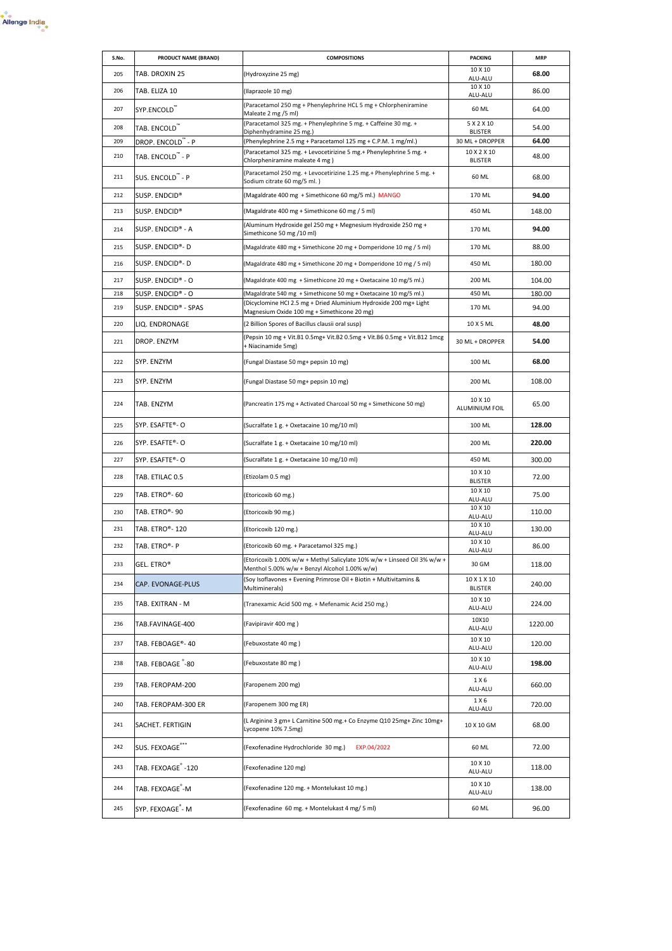

| S.No. | PRODUCT NAME (BRAND)           | <b>COMPOSITIONS</b>                                                                                                       | <b>PACKING</b>                | <b>MRP</b> |
|-------|--------------------------------|---------------------------------------------------------------------------------------------------------------------------|-------------------------------|------------|
| 205   | TAB. DROXIN 25                 | (Hydroxyzine 25 mg)                                                                                                       | 10 X 10<br>ALU-ALU            | 68.00      |
| 206   | TAB. ELIZA 10                  | (Ilaprazole 10 mg)                                                                                                        | 10 X 10<br>ALU-ALU            | 86.00      |
| 207   | SYP.ENCOLD™                    | (Paracetamol 250 mg + Phenylephrine HCL 5 mg + Chlorpheniramine<br>Maleate 2 mg /5 ml)                                    | 60 ML                         | 64.00      |
| 208   | TAB. ENCOLD <sup>"</sup>       | (Paracetamol 325 mg. + Phenylephrine 5 mg. + Caffeine 30 mg. +<br>Diphenhydramine 25 mg.)                                 | 5 X 2 X 10<br><b>BLISTER</b>  | 54.00      |
| 209   | DROP. ENCOLD - P               | (Phenylephrine 2.5 mg + Paracetamol 125 mg + C.P.M. 1 mg/ml.)                                                             | 30 ML + DROPPER               | 64.00      |
| 210   | TAB. ENCOLD " - P              | (Paracetamol 325 mg. + Levocetirizine 5 mg. + Phenylephrine 5 mg. +<br>Chlorpheniramine maleate 4 mg)                     | 10 X 2 X 10<br><b>BLISTER</b> | 48.00      |
| 211   | SUS. ENCOLD <sup>"</sup> - P   | (Paracetamol 250 mg. + Levocetirizine 1.25 mg. + Phenylephrine 5 mg. +<br>Sodium citrate 60 mg/5 ml.)                     | 60 ML                         | 68.00      |
| 212   | SUSP. ENDCID®                  | (Magaldrate 400 mg + Simethicone 60 mg/5 ml.) MANGO                                                                       | 170 ML                        | 94.00      |
| 213   | SUSP. ENDCID®                  | (Magaldrate 400 mg + Simethicone 60 mg / 5 ml)                                                                            | 450 ML                        | 148.00     |
| 214   | SUSP. ENDCID® - A              | (Aluminum Hydroxide gel 250 mg + Megnesium Hydroxide 250 mg +<br>Simethicone 50 mg /10 ml)                                | 170 ML                        | 94.00      |
| 215   | SUSP. ENDCID®-D                | (Magaldrate 480 mg + Simethicone 20 mg + Domperidone 10 mg / 5 ml)                                                        | 170 ML                        | 88.00      |
| 216   | SUSP. ENDCID®-D                | (Magaldrate 480 mg + Simethicone 20 mg + Domperidone 10 mg / 5 ml)                                                        | 450 ML                        | 180.00     |
| 217   | SUSP. ENDCID® - O              | (Magaldrate 400 mg + Simethicone 20 mg + Oxetacaine 10 mg/5 ml.)                                                          | 200 ML                        | 104.00     |
| 218   | SUSP. ENDCID® - O              | (Magaldrate 540 mg + Simethicone 50 mg + Oxetacaine 10 mg/5 ml.)                                                          | 450 ML                        | 180.00     |
| 219   | SUSP. ENDCID® - SPAS           | (Dicyclomine HCl 2.5 mg + Dried Aluminium Hydroxide 200 mg+ Light<br>Magnesium Oxide 100 mg + Simethicone 20 mg)          | 170 ML                        | 94.00      |
| 220   | LIQ. ENDRONAGE                 | (2 Billion Spores of Bacillus clausii oral susp)                                                                          | 10 X 5 ML                     | 48.00      |
| 221   | DROP. ENZYM                    | (Pepsin 10 mg + Vit.B1 0.5mg+ Vit.B2 0.5mg + Vit.B6 0.5mg + Vit.B12 1mcg<br>+ Niacinamide 5mg)                            | 30 ML + DROPPER               | 54.00      |
| 222   | SYP. ENZYM                     | (Fungal Diastase 50 mg+ pepsin 10 mg)                                                                                     | 100 ML                        | 68.00      |
| 223   | SYP. ENZYM                     | (Fungal Diastase 50 mg+ pepsin 10 mg)                                                                                     | 200 ML                        | 108.00     |
| 224   | TAB. ENZYM                     | (Pancreatin 175 mg + Activated Charcoal 50 mg + Simethicone 50 mg)                                                        | 10 X 10<br>ALUMINIUM FOIL     | 65.00      |
| 225   | SYP. ESAFTE®- O                | (Sucralfate 1 g. + Oxetacaine 10 mg/10 ml)                                                                                | 100 ML                        | 128.00     |
| 226   | SYP. ESAFTE®- O                | (Sucralfate 1 g. + Oxetacaine 10 mg/10 ml)                                                                                | 200 ML                        | 220.00     |
| 227   | SYP. ESAFTE®- O                | (Sucralfate 1 g. + Oxetacaine 10 mg/10 ml)                                                                                | 450 ML                        | 300.00     |
| 228   | TAB. ETILAC 0.5                | (Etizolam 0.5 mg)                                                                                                         | 10 X 10<br><b>BLISTER</b>     | 72.00      |
| 229   | TAB. ETRO®- 60                 | (Etoricoxib 60 mg.)                                                                                                       | 10 X 10<br>ALU-ALU            | 75.00      |
| 230   | TAB. ETRO®- 90                 | (Etoricoxib 90 mg.)                                                                                                       | 10 X 10<br>ALU-ALU            | 110.00     |
| 231   | TAB. ETRO®- 120                | (Etoricoxib 120 mg.)                                                                                                      | 10 X 10<br>ALU-ALU            | 130.00     |
| 232   | TAB. ETRO®- P                  | (Etoricoxib 60 mg. + Paracetamol 325 mg.)                                                                                 | 10 X 10<br>ALU-ALU            | 86.00      |
| 233   | GEL. ETRO®                     | (Etoricoxib 1.00% w/w + Methyl Salicylate 10% w/w + Linseed Oil 3% w/w +<br>Menthol 5.00% w/w + Benzyl Alcohol 1.00% w/w) | 30 GM                         | 118.00     |
| 234   | CAP. EVONAGE-PLUS              | (Soy Isoflavones + Evening Primrose Oil + Biotin + Multivitamins &<br>Multiminerals)                                      | 10 X 1 X 10<br><b>BLISTER</b> | 240.00     |
| 235   | TAB. EXITRAN - M               | (Tranexamic Acid 500 mg. + Mefenamic Acid 250 mg.)                                                                        | 10 X 10<br>ALU-ALU            | 224.00     |
| 236   | TAB.FAVINAGE-400               | (Favipiravir 400 mg)                                                                                                      | 10X10<br>ALU-ALU              | 1220.00    |
| 237   | TAB. FEBOAGE®- 40              | (Febuxostate 40 mg)                                                                                                       | 10 X 10<br>ALU-ALU            | 120.00     |
| 238   | TAB. FEBOAGE -80               | (Febuxostate 80 mg)                                                                                                       | 10 X 10<br>ALU-ALU            | 198.00     |
| 239   | TAB. FEROPAM-200               | (Faropenem 200 mg)                                                                                                        | 1 X 6<br>ALU-ALU              | 660.00     |
| 240   | TAB. FEROPAM-300 ER            | (Faropenem 300 mg ER)                                                                                                     | 1 X 6<br>ALU-ALU              | 720.00     |
| 241   | SACHET. FERTIGIN               | (L Arginine 3 gm+ L Carnitine 500 mg.+ Co Enzyme Q10 25mg+ Zinc 10mg+<br>Lycopene 10% 7.5mg)                              | 10 X 10 GM                    | 68.00      |
| 242   | SUS. FEXOAGE***                | (Fexofenadine Hydrochloride 30 mg.)<br>EXP.04/2022                                                                        | 60 ML                         | 72.00      |
| 243   | TAB. FEXOAGE <sup>®</sup> -120 | (Fexofenadine 120 mg)                                                                                                     | 10 X 10<br>ALU-ALU            | 118.00     |
| 244   | TAB. FEXOAGE <sup>®</sup> -M   | (Fexofenadine 120 mg. + Montelukast 10 mg.)                                                                               | 10 X 10<br>ALU-ALU            | 138.00     |
| 245   | SYP. FEXOAGE <sup>®</sup> - M  | (Fexofenadine 60 mg. + Montelukast 4 mg/ 5 ml)                                                                            | 60 ML                         | 96.00      |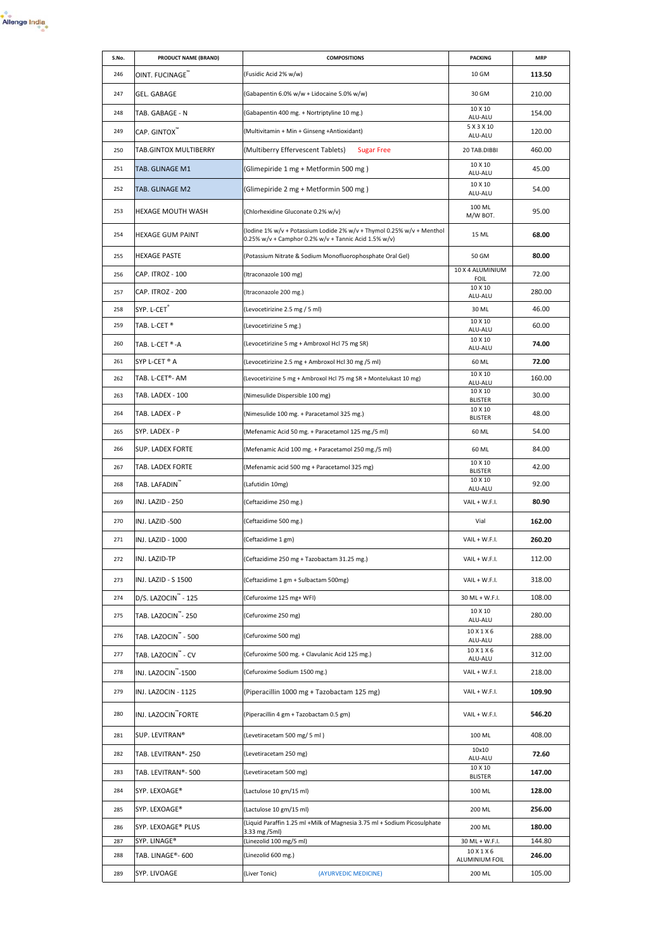

| S.No. | PRODUCT NAME (BRAND)            | <b>COMPOSITIONS</b>                                                                                                           | <b>PACKING</b>                       | <b>MRP</b> |
|-------|---------------------------------|-------------------------------------------------------------------------------------------------------------------------------|--------------------------------------|------------|
| 246   | OINT. FUCINAGE <sup>"</sup>     | (Fusidic Acid 2% w/w)                                                                                                         | 10 GM                                | 113.50     |
| 247   | GEL. GABAGE                     | (Gabapentin 6.0% w/w + Lidocaine 5.0% w/w)                                                                                    | 30 GM                                | 210.00     |
| 248   | TAB. GABAGE - N                 | (Gabapentin 400 mg. + Nortriptyline 10 mg.)                                                                                   | 10 X 10<br>ALU-ALU                   | 154.00     |
| 249   | CAP. GINTOX <sup>"</sup>        | (Multivitamin + Min + Ginseng +Antioxidant)                                                                                   | 5 X 3 X 10<br>ALU-ALU                | 120.00     |
| 250   | TAB.GINTOX MULTIBERRY           | (Multiberry Effervescent Tablets)<br><b>Sugar Free</b>                                                                        | 20 TAB.DIBBI                         | 460.00     |
| 251   | TAB. GLINAGE M1                 | (Glimepiride 1 mg + Metformin 500 mg)                                                                                         | 10 X 10<br>ALU-ALU                   | 45.00      |
| 252   | TAB. GLINAGE M2                 | (Glimepiride 2 mg + Metformin 500 mg)                                                                                         | 10 X 10<br>ALU-ALU                   | 54.00      |
| 253   | HEXAGE MOUTH WASH               | (Chlorhexidine Gluconate 0.2% w/v)                                                                                            | 100 ML<br>M/W BOT.                   | 95.00      |
| 254   | <b>HEXAGE GUM PAINT</b>         | (lodine 1% w/v + Potassium Lodide 2% w/v + Thymol 0.25% w/v + Menthol<br>0.25% w/v + Camphor 0.2% w/v + Tannic Acid 1.5% w/v) | 15 ML                                | 68.00      |
| 255   | <b>HEXAGE PASTE</b>             | (Potassium Nitrate & Sodium Monofluorophosphate Oral Gel)                                                                     | 50 GM                                | 80.00      |
| 256   | CAP. ITROZ - 100                | (Itraconazole 100 mg)                                                                                                         | 10 X 4 ALUMINIUM<br><b>FOIL</b>      | 72.00      |
| 257   | CAP. ITROZ - 200                | (Itraconazole 200 mg.)                                                                                                        | 10 X 10<br>ALU-ALU                   | 280.00     |
| 258   | SYP. L-CET <sup>®</sup>         | (Levocetirizine 2.5 mg / 5 ml)                                                                                                | 30 ML                                | 46.00      |
| 259   | TAB. L-CET <sup>®</sup>         | (Levocetirizine 5 mg.)                                                                                                        | 10 X 10<br>ALU-ALU                   | 60.00      |
| 260   | TAB. L-CET ®-A                  | (Levocetirizine 5 mg + Ambroxol Hcl 75 mg SR)                                                                                 | 10 X 10<br>ALU-ALU                   | 74.00      |
| 261   | SYP L-CET ® A                   | (Levocetirizine 2.5 mg + Ambroxol Hcl 30 mg /5 ml)                                                                            | 60 ML                                | 72.00      |
| 262   | TAB. L-CET®- AM                 | (Levocetirizine 5 mg + Ambroxol Hcl 75 mg SR + Montelukast 10 mg)                                                             | 10 X 10<br>ALU-ALU                   | 160.00     |
| 263   | TAB. LADEX - 100                | (Nimesulide Dispersible 100 mg)                                                                                               | 10 X 10<br><b>BLISTER</b>            | 30.00      |
| 264   | TAB. LADEX - P                  | (Nimesulide 100 mg. + Paracetamol 325 mg.)                                                                                    | 10 X 10<br><b>BLISTER</b>            | 48.00      |
| 265   | SYP. LADEX - P                  | (Mefenamic Acid 50 mg. + Paracetamol 125 mg./5 ml)                                                                            | 60 ML                                | 54.00      |
| 266   | SUP. LADEX FORTE                | (Mefenamic Acid 100 mg. + Paracetamol 250 mg./5 ml)                                                                           | 60 ML                                | 84.00      |
| 267   | TAB. LADEX FORTE                | (Mefenamic acid 500 mg + Paracetamol 325 mg)                                                                                  | 10 X 10                              | 42.00      |
| 268   | TAB. LAFADIN <sup>"</sup>       | (Lafutidin 10mg)                                                                                                              | <b>BLISTER</b><br>10 X 10<br>ALU-ALU | 92.00      |
| 269   | INJ. LAZID - 250                | (Ceftazidime 250 mg.)                                                                                                         | VAIL + W.F.I.                        | 80.90      |
| 270   | INJ. LAZID -500                 | (Ceftazidime 500 mg.)                                                                                                         | Vial                                 | 162.00     |
| 271   | INJ. LAZID - 1000               | (Ceftazidime 1 gm)                                                                                                            | VAIL + W.F.I.                        | 260.20     |
| 272   | INJ. LAZID-TP                   | (Ceftazidime 250 mg + Tazobactam 31.25 mg.)                                                                                   | VAIL + W.F.I.                        | 112.00     |
| 273   | INJ. LAZID - S 1500             | (Ceftazidime 1 gm + Sulbactam 500mg)                                                                                          | VAIL + W.F.I.                        | 318.00     |
| 274   | D/S. LAZOCIN <sup>"</sup> - 125 | (Cefuroxime 125 mg+ WFI)                                                                                                      | 30 ML + W.F.I.                       | 108.00     |
| 275   | TAB. LAZOCIN"-250               | (Cefuroxime 250 mg)                                                                                                           | 10 X 10<br>ALU-ALU                   | 280.00     |
| 276   | TAB. LAZOCIN <sup>"</sup> - 500 | (Cefuroxime 500 mg)                                                                                                           | 10 X 1 X 6<br>ALU-ALU                | 288.00     |
| 277   | TAB. LAZOCIN™ - CV              | (Cefuroxime 500 mg. + Clavulanic Acid 125 mg.)                                                                                | 10 X 1 X 6<br>ALU-ALU                | 312.00     |
| 278   | INJ. LAZOCIN -1500              | (Cefuroxime Sodium 1500 mg.)                                                                                                  | VAIL + W.F.I.                        | 218.00     |
| 279   | INJ. LAZOCIN - 1125             | (Piperacillin 1000 mg + Tazobactam 125 mg)                                                                                    | VAIL + W.F.I.                        | 109.90     |
| 280   | INJ. LAZOCIN FORTE              | (Piperacillin 4 gm + Tazobactam 0.5 gm)                                                                                       | VAIL + W.F.I.                        | 546.20     |
| 281   | SUP. LEVITRAN®                  | (Levetiracetam 500 mg/ 5 ml)                                                                                                  | 100 ML                               | 408.00     |
| 282   | TAB. LEVITRAN®- 250             | (Levetiracetam 250 mg)                                                                                                        | 10x10<br>ALU-ALU                     | 72.60      |
| 283   | TAB. LEVITRAN®- 500             | (Levetiracetam 500 mg)                                                                                                        | 10 X 10<br><b>BLISTER</b>            | 147.00     |
| 284   | SYP. LEXOAGE®                   | (Lactulose 10 gm/15 ml)                                                                                                       | 100 ML                               | 128.00     |
| 285   | SYP. LEXOAGE®                   | (Lactulose 10 gm/15 ml)                                                                                                       | 200 ML                               | 256.00     |
| 286   | SYP. LEXOAGE® PLUS              | (Liquid Paraffin 1.25 ml +Milk of Magnesia 3.75 ml + Sodium Picosulphate<br>3.33 mg /5ml)                                     | 200 ML                               | 180.00     |
| 287   | SYP. LINAGE®                    | (Linezolid 100 mg/5 ml)                                                                                                       | 30 ML + W.F.I.                       | 144.80     |
| 288   | TAB. LINAGE®- 600               | (Linezolid 600 mg.)                                                                                                           | 10 X 1 X 6<br>ALUMINIUM FOIL         | 246.00     |
| 289   | SYP. LIVOAGE                    | (Liver Tonic)<br>(AYURVEDIC MEDICINE)                                                                                         | 200 ML                               | 105.00     |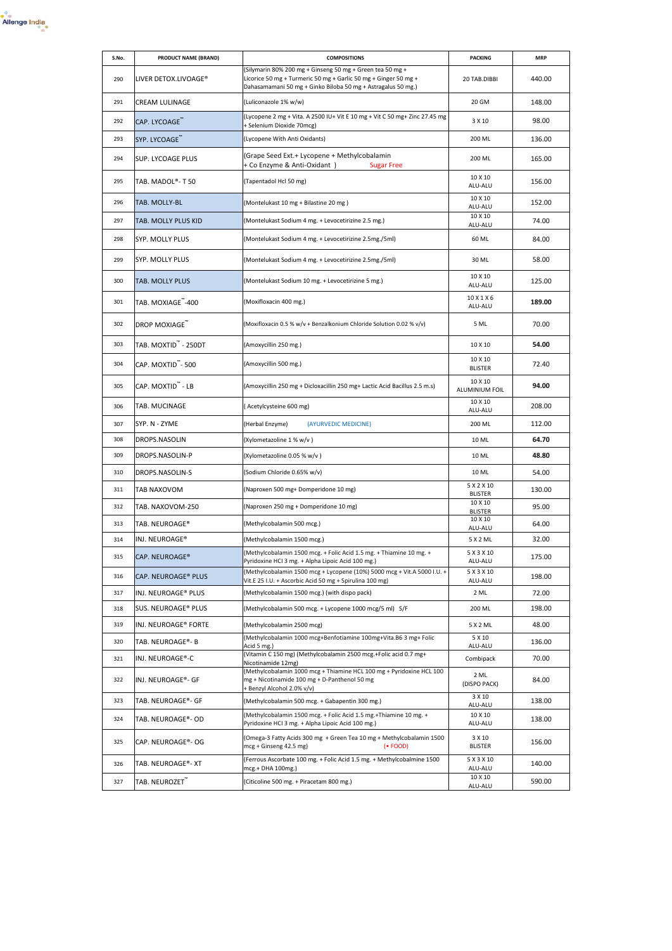

| S.No. | PRODUCT NAME (BRAND)                  | <b>COMPOSITIONS</b>                                                                                                                                                                          | <b>PACKING</b>               | <b>MRP</b> |
|-------|---------------------------------------|----------------------------------------------------------------------------------------------------------------------------------------------------------------------------------------------|------------------------------|------------|
| 290   | LIVER DETOX.LIVOAGE®                  | (Silymarin 80% 200 mg + Ginseng 50 mg + Green tea 50 mg +<br>Licorice 50 mg + Turmeric 50 mg + Garlic 50 mg + Ginger 50 mg +<br>Dahasamamani 50 mg + Ginko Biloba 50 mg + Astragalus 50 mg.) | 20 TAB.DIBBI                 | 440.00     |
| 291   | CREAM LULINAGE                        | (Luliconazole 1% w/w)                                                                                                                                                                        | 20 GM                        | 148.00     |
| 292   | CAP. LYCOAGE <sup>"</sup>             | (Lycopene 2 mg + Vita. A 2500 IU+ Vit E 10 mg + Vit C 50 mg+ Zinc 27.45 mg<br>+ Selenium Dioxide 70mcg)                                                                                      | 3 X 10                       | 98.00      |
| 293   | SYP. LYCOAGE"                         | (Lycopene With Anti Oxidants)                                                                                                                                                                | 200 ML                       | 136.00     |
| 294   | SUP. LYCOAGE PLUS                     | (Grape Seed Ext.+ Lycopene + Methylcobalamin<br>+ Co Enzyme & Anti-Oxidant)<br><b>Sugar Free</b>                                                                                             | 200 ML                       | 165.00     |
| 295   | TAB. MADOL®-T 50                      | (Tapentadol Hcl 50 mg)                                                                                                                                                                       | 10 X 10<br>ALU-ALU           | 156.00     |
| 296   | TAB. MOLLY-BL                         | (Montelukast 10 mg + Bilastine 20 mg)                                                                                                                                                        | 10 X 10<br>ALU-ALU           | 152.00     |
| 297   | TAB. MOLLY PLUS KID                   | (Montelukast Sodium 4 mg. + Levocetirizine 2.5 mg.)                                                                                                                                          | 10 X 10<br>ALU-ALU           | 74.00      |
| 298   | SYP. MOLLY PLUS                       | (Montelukast Sodium 4 mg. + Levocetirizine 2.5mg./5ml)                                                                                                                                       | 60 ML                        | 84.00      |
| 299   | SYP. MOLLY PLUS                       | (Montelukast Sodium 4 mg. + Levocetirizine 2.5mg./5ml)                                                                                                                                       | 30 ML                        | 58.00      |
| 300   | <b>TAB. MOLLY PLUS</b>                | (Montelukast Sodium 10 mg. + Levocetirizine 5 mg.)                                                                                                                                           | 10 X 10<br>ALU-ALU           | 125.00     |
| 301   | TAB. MOXIAGE <sup>"</sup> -400        | (Moxifloxacin 400 mg.)                                                                                                                                                                       | 10 X 1 X 6<br>ALU-ALU        | 189.00     |
| 302   | DROP MOXIAGE <sup>"</sup>             | (Moxifloxacin 0.5 % w/v + Benzalkonium Chloride Solution 0.02 % v/v)                                                                                                                         | 5 ML                         | 70.00      |
| 303   | TAB. MOXTID" - 250DT                  | (Amoxycillin 250 mg.)                                                                                                                                                                        | 10 X 10                      | 54.00      |
| 304   | CAP. MOXTID - 500                     | (Amoxycillin 500 mg.)                                                                                                                                                                        | 10 X 10<br><b>BLISTER</b>    | 72.40      |
| 305   | CAP. MOXTID <sup>"</sup> - LB         | (Amoxycillin 250 mg + Dicloxacillin 250 mg+ Lactic Acid Bacillus 2.5 m.s)                                                                                                                    | 10 X 10<br>ALUMINIUM FOIL    | 94.00      |
| 306   | TAB. MUCINAGE                         | (Acetylcysteine 600 mg)                                                                                                                                                                      | 10 X 10<br>ALU-ALU           | 208.00     |
| 307   | SYP. N - ZYME                         | (AYURVEDIC MEDICINE)<br>(Herbal Enzyme)                                                                                                                                                      | 200 ML                       | 112.00     |
| 308   | DROPS.NASOLIN                         | (Xylometazoline 1 % w/v)                                                                                                                                                                     | 10 ML                        | 64.70      |
| 309   | DROPS.NASOLIN-P                       | (Xylometazoline 0.05 % w/v)                                                                                                                                                                  | 10 ML                        | 48.80      |
| 310   | DROPS.NASOLIN-S                       | (Sodium Chloride 0.65% w/v)                                                                                                                                                                  | 10 ML                        | 54.00      |
| 311   | TAB NAXOVOM                           | (Naproxen 500 mg+ Domperidone 10 mg)                                                                                                                                                         | 5 X 2 X 10<br><b>BLISTER</b> | 130.00     |
| 312   | TAB. NAXOVOM-250                      | (Naproxen 250 mg + Domperidone 10 mg)                                                                                                                                                        | 10 X 10<br><b>BLISTER</b>    | 95.00      |
| 313   | TAB. NEUROAGE®                        | (Methylcobalamin 500 mcg.)                                                                                                                                                                   | 10 X 10<br>ALU-ALU           | 64.00      |
| 314   | INJ. NEUROAGE®                        | (Methylcobalamin 1500 mcg.)                                                                                                                                                                  | 5 X 2 ML                     | 32.00      |
| 315   | $\mathsf{CAP}. \,\mathsf{NEUROAGE}^w$ | (Methylcobalamin 1500 mcg. + Folic Acid 1.5 mg. + Thiamine 10 mg. +<br>Pyridoxine HCI 3 mg. + Alpha Lipoic Acid 100 mg.)                                                                     | 5 X 3 X 10<br>ALU-ALU        | 175.00     |
| 316   | CAP. NEUROAGE® PLUS                   | Methylcobalamin 1500 mcg + Lycopene (10%) 5000 mcg + Vit.A 5000 I.U. +<br>Vit.E 25 I.U. + Ascorbic Acid 50 mg + Spirulina 100 mg)                                                            | 5 X 3 X 10<br>ALU-ALU        | 198.00     |
| 317   | INJ. NEUROAGE® PLUS                   | (Methylcobalamin 1500 mcg.) (with dispo pack)                                                                                                                                                | 2 ML                         | 72.00      |
| 318   | SUS. NEUROAGE® PLUS                   | (Methylcobalamin 500 mcg. + Lycopene 1000 mcg/5 ml) S/F                                                                                                                                      | 200 ML                       | 198.00     |
| 319   | INJ. NEUROAGE® FORTE                  | (Methylcobalamin 2500 mcg)                                                                                                                                                                   | 5 X 2 ML                     | 48.00      |
| 320   | TAB. NEUROAGE®- B                     | (Methylcobalamin 1000 mcg+Benfotiamine 100mg+Vita.B6 3 mg+ Folic<br>Acid 5 mg.)                                                                                                              | 5 X 10<br>ALU-ALU            | 136.00     |
| 321   | INJ. NEUROAGE®-C                      | (Vitamin C 150 mg) (Methylcobalamin 2500 mcg.+Folic acid 0.7 mg+<br>Nicotinamide 12mg)                                                                                                       | Combipack                    | 70.00      |
| 322   | INJ. NEUROAGE®- GF                    | (Methylcobalamin 1000 mcg + Thiamine HCL 100 mg + Pyridoxine HCL 100<br>mg + Nicotinamide 100 mg + D-Panthenol 50 mg<br>+ Benzyl Alcohol 2.0% v/v)                                           | 2 ML<br>(DISPO PACK)         | 84.00      |
| 323   | TAB. NEUROAGE®- GF                    | (Methylcobalamin 500 mcg. + Gabapentin 300 mg.)                                                                                                                                              | 3 X 10<br>ALU-ALU            | 138.00     |
| 324   | TAB. NEUROAGE®- OD                    | (Methylcobalamin 1500 mcg. + Folic Acid 1.5 mg.+Thiamine 10 mg. +<br>Pyridoxine HCI 3 mg. + Alpha Lipoic Acid 100 mg.)                                                                       | 10 X 10<br>ALU-ALU           | 138.00     |
| 325   | CAP. NEUROAGE®- OG                    | (Omega-3 Fatty Acids 300 mg + Green Tea 10 mg + Methylcobalamin 1500<br>mcg + Ginseng 42.5 mg)<br>$(•$ FOOD)                                                                                 | 3 X 10<br><b>BLISTER</b>     | 156.00     |
| 326   | TAB. NEUROAGE®-XT                     | (Ferrous Ascorbate 100 mg. + Folic Acid 1.5 mg. + Methylcobalmine 1500<br>mcg.+ DHA 100mg.)                                                                                                  | 5 X 3 X 10<br>ALU-ALU        | 140.00     |
| 327   | TAB. NEUROZET <sup>"</sup>            | (Citicoline 500 mg. + Piracetam 800 mg.)                                                                                                                                                     | 10 X 10<br>ALU-ALU           | 590.00     |
|       |                                       |                                                                                                                                                                                              |                              |            |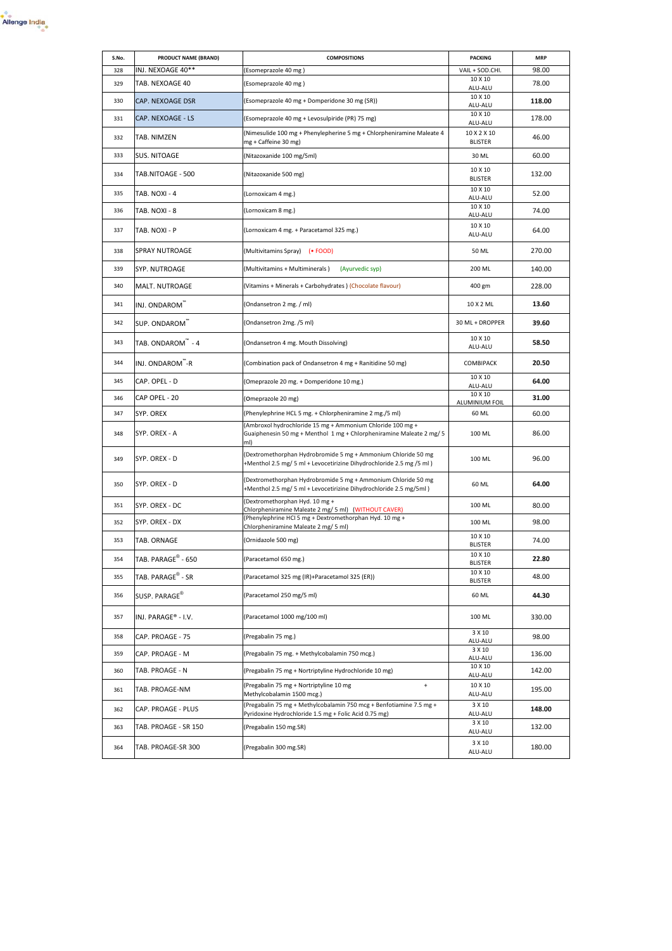

| S.No. | PRODUCT NAME (BRAND)           | <b>COMPOSITIONS</b>                                                                                                                       | <b>PACKING</b>                | <b>MRP</b> |
|-------|--------------------------------|-------------------------------------------------------------------------------------------------------------------------------------------|-------------------------------|------------|
| 328   | INJ. NEXOAGE 40**              | (Esomeprazole 40 mg )                                                                                                                     | VAIL + SOD.CHI.               | 98.00      |
| 329   | TAB. NEXOAGE 40                | (Esomeprazole 40 mg)                                                                                                                      | 10 X 10<br>ALU-ALU            | 78.00      |
| 330   | <b>CAP. NEXOAGE DSR</b>        | (Esomeprazole 40 mg + Domperidone 30 mg (SR))                                                                                             | 10 X 10<br>ALU-ALU            | 118.00     |
| 331   | CAP. NEXOAGE - LS              | (Esomeprazole 40 mg + Levosulpiride (PR) 75 mg)                                                                                           | 10 X 10<br>ALU-ALU            | 178.00     |
| 332   | TAB. NIMZEN                    | (Nimesulide 100 mg + Phenylepherine 5 mg + Chlorpheniramine Maleate 4<br>mg + Caffeine 30 mg)                                             | 10 X 2 X 10<br><b>BLISTER</b> | 46.00      |
| 333   | <b>SUS. NITOAGE</b>            | (Nitazoxanide 100 mg/5ml)                                                                                                                 | 30 ML                         | 60.00      |
| 334   | TAB.NITOAGE - 500              | (Nitazoxanide 500 mg)                                                                                                                     | 10 X 10<br><b>BLISTER</b>     | 132.00     |
| 335   | TAB. NOXI - 4                  | (Lornoxicam 4 mg.)                                                                                                                        | 10 X 10<br>ALU-ALU            | 52.00      |
| 336   | TAB. NOXI - 8                  | (Lornoxicam 8 mg.)                                                                                                                        | 10 X 10<br>ALU-ALU            | 74.00      |
| 337   | TAB. NOXI - P                  | (Lornoxicam 4 mg. + Paracetamol 325 mg.)                                                                                                  | 10 X 10<br>ALU-ALU            | 64.00      |
| 338   | <b>SPRAY NUTROAGE</b>          | (Multivitamins Spray) (• FOOD)                                                                                                            | 50 ML                         | 270.00     |
| 339   | SYP. NUTROAGE                  | (Multivitamins + Multiminerals)<br>(Ayurvedic syp)                                                                                        | 200 ML                        | 140.00     |
| 340   | MALT. NUTROAGE                 | (Vitamins + Minerals + Carbohydrates) (Chocolate flavour)                                                                                 | 400 gm                        | 228.00     |
| 341   | INJ. ONDAROM <sup>"</sup>      | (Ondansetron 2 mg. / ml)                                                                                                                  | 10 X 2 ML                     | 13.60      |
| 342   | SUP. ONDAROM                   | (Ondansetron 2mg. /5 ml)                                                                                                                  | 30 ML + DROPPER               | 39.60      |
| 343   | TAB. ONDAROM <sup>"</sup> - 4  | (Ondansetron 4 mg. Mouth Dissolving)                                                                                                      | 10 X 10<br>ALU-ALU            | 58.50      |
| 344   | INJ. ONDAROM <sup>"-</sup> R   | (Combination pack of Ondansetron 4 mg + Ranitidine 50 mg)                                                                                 | COMBIPACK                     | 20.50      |
| 345   | CAP. OPEL - D                  | (Omeprazole 20 mg. + Domperidone 10 mg.)                                                                                                  | 10 X 10<br>ALU-ALU            | 64.00      |
| 346   | CAP OPEL - 20                  | (Omeprazole 20 mg)                                                                                                                        | 10 X 10<br>ALUMINIUM FOIL     | 31.00      |
| 347   | SYP. OREX                      | (Phenylephrine HCL 5 mg. + Chlorpheniramine 2 mg./5 ml)                                                                                   | 60 ML                         | 60.00      |
| 348   | SYP. OREX - A                  | (Ambroxol hydrochloride 15 mg + Ammonium Chloride 100 mg +<br>Guaiphenesin 50 mg + Menthol 1 mg + Chlorpheniramine Maleate 2 mg/ 5<br>ml) | 100 ML                        | 86.00      |
| 349   | SYP. OREX - D                  | (Dextromethorphan Hydrobromide 5 mg + Ammonium Chloride 50 mg<br>+Menthol 2.5 mg/ 5 ml + Levocetirizine Dihydrochloride 2.5 mg /5 ml)     | 100 ML                        | 96.00      |
| 350   | SYP. OREX - D                  | (Dextromethorphan Hydrobromide 5 mg + Ammonium Chloride 50 mg<br>+Menthol 2.5 mg/ 5 ml + Levocetirizine Dihydrochloride 2.5 mg/5ml)       | 60 ML                         | 64.00      |
| 351   | SYP. OREX - DC                 | (Dextromethorphan Hyd. 10 mg +<br>Chlorpheniramine Maleate 2 mg/ 5 ml) (WITHOUT CAVER)                                                    | 100 ML                        | 80.00      |
| 352   | SYP. OREX - DX                 | (Phenylephrine HCI 5 mg + Dextromethorphan Hyd. 10 mg +<br>Chlorpheniramine Maleate 2 mg/ 5 ml)                                           | 100 ML                        | 98.00      |
| 353   | TAB. ORNAGE                    | (Ornidazole 500 mg)                                                                                                                       | 10 X 10<br><b>BLISTER</b>     | 74.00      |
| 354   | TAB. PARAGE <sup>®</sup> - 650 | (Paracetamol 650 mg.)                                                                                                                     | 10 X 10<br><b>BLISTER</b>     | 22.80      |
| 355   | TAB. PARAGE <sup>®</sup> - SR  | (Paracetamol 325 mg (IR)+Paracetamol 325 (ER))                                                                                            | 10 X 10<br><b>BLISTER</b>     | 48.00      |
| 356   | SUSP. PARAGE <sup>®</sup>      | (Paracetamol 250 mg/5 ml)                                                                                                                 | 60 ML                         | 44.30      |
| 357   | INJ. PARAGE® - I.V.            | (Paracetamol 1000 mg/100 ml)                                                                                                              | 100 ML                        | 330.00     |
| 358   | CAP. PROAGE - 75               | (Pregabalin 75 mg.)                                                                                                                       | 3 X 10<br>ALU-ALU             | 98.00      |
| 359   | CAP. PROAGE - M                | (Pregabalin 75 mg. + Methylcobalamin 750 mcg.)                                                                                            | 3 X 10<br>ALU-ALU             | 136.00     |
| 360   | TAB. PROAGE - N                | (Pregabalin 75 mg + Nortriptyline Hydrochloride 10 mg)                                                                                    | 10 X 10<br>ALU-ALU            | 142.00     |
| 361   | TAB. PROAGE-NM                 | (Pregabalin 75 mg + Nortriptyline 10 mg<br>$\ddot{}$<br>Methylcobalamin 1500 mcg.)                                                        | 10 X 10<br>ALU-ALU            | 195.00     |
| 362   | CAP. PROAGE - PLUS             | (Pregabalin 75 mg + Methylcobalamin 750 mcg + Benfotiamine 7.5 mg +<br>Pyridoxine Hydrochloride 1.5 mg + Folic Acid 0.75 mg)              | 3 X 10<br>ALU-ALU             | 148.00     |
| 363   | TAB. PROAGE - SR 150           | (Pregabalin 150 mg.SR)                                                                                                                    | 3 X 10<br>ALU-ALU             | 132.00     |
| 364   | TAB. PROAGE-SR 300             | (Pregabalin 300 mg.SR)                                                                                                                    | 3 X 10<br>ALU-ALU             | 180.00     |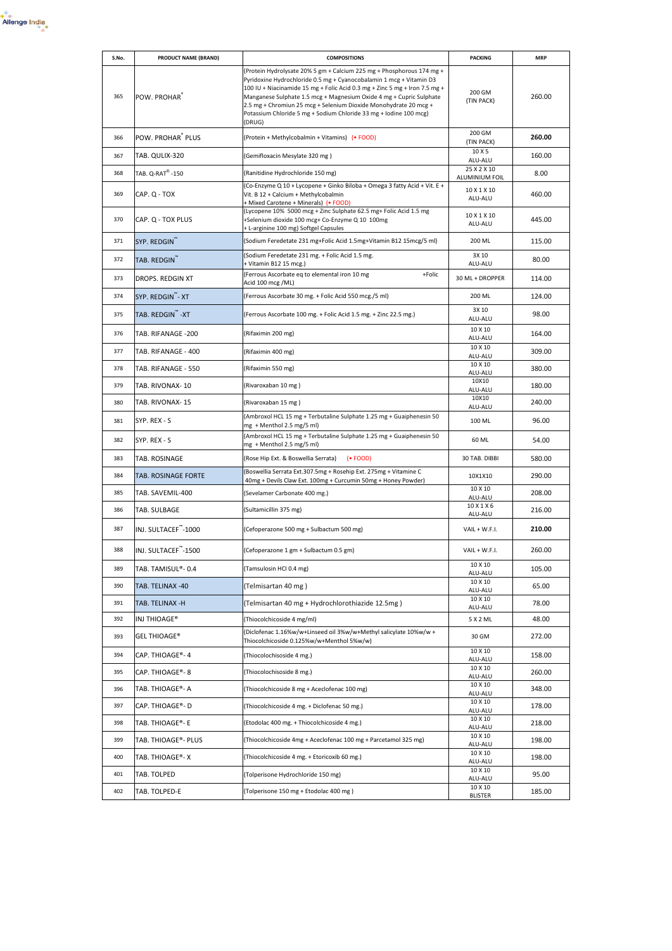

| S.No. | <b>PRODUCT NAME (BRAND)</b>      | <b>COMPOSITIONS</b>                                                                                                                                                                                                                                                                                                                                                                                                                                  | <b>PACKING</b>                | <b>MRP</b> |
|-------|----------------------------------|------------------------------------------------------------------------------------------------------------------------------------------------------------------------------------------------------------------------------------------------------------------------------------------------------------------------------------------------------------------------------------------------------------------------------------------------------|-------------------------------|------------|
| 365   | POW. PROHAR <sup>®</sup>         | (Protein Hydrolysate 20% 5 gm + Calcium 225 mg + Phosphorous 174 mg +<br>Pyridoxine Hydrochloride 0.5 mg + Cyanocobalamin 1 mcg + Vitamin D3<br>100 IU + Niacinamide 15 mg + Folic Acid 0.3 mg + Zinc 5 mg + Iron 7.5 mg +<br>Manganese Sulphate 1.5 mcg + Magnesium Oxide 4 mg + Cupric Sulphate<br>2.5 mg + Chromiun 25 mcg + Selenium Dioxide Monohydrate 20 mcg +<br>Potassium Chloride 5 mg + Sodium Chloride 33 mg + Iodine 100 mcg)<br>(DRUG) | 200 GM<br>(TIN PACK)          | 260.00     |
| 366   | POW. PROHAR® PLUS                | (Protein + Methylcobalmin + Vitamins) (• FOOD)                                                                                                                                                                                                                                                                                                                                                                                                       | 200 GM<br>(TIN PACK)          | 260.00     |
| 367   | TAB. QULIX-320                   | (Gemifloxacin Mesylate 320 mg)                                                                                                                                                                                                                                                                                                                                                                                                                       | 10 X 5<br>ALU-ALU             | 160.00     |
| 368   | TAB. Q-RAT <sup>®</sup> -150     | (Ranitidine Hydrochloride 150 mg)                                                                                                                                                                                                                                                                                                                                                                                                                    | 25 X 2 X 10<br>ALUMINIUM FOIL | 8.00       |
| 369   | CAP. Q - TOX                     | (Co-Enzyme Q 10 + Lycopene + Ginko Biloba + Omega 3 fatty Acid + Vit. E +<br>Vit. B 12 + Calcium + Methylcobalmin<br>+ Mixed Carotene + Minerals) (• FOOD)                                                                                                                                                                                                                                                                                           | 10 X 1 X 10<br>ALU-ALU        | 460.00     |
| 370   | CAP. Q - TOX PLUS                | (Lycopene 10% 5000 mcg + Zinc Sulphate 62.5 mg+ Folic Acid 1.5 mg<br>+Selenium dioxide 100 mcg+ Co-Enzyme Q 10 100mg<br>+ L-arginine 100 mg) Softgel Capsules                                                                                                                                                                                                                                                                                        | 10 X 1 X 10<br>ALU-ALU        | 445.00     |
| 371   | SYP. REDGIN                      | (Sodium Feredetate 231 mg+Folic Acid 1.5mg+Vitamin B12 15mcg/5 ml)                                                                                                                                                                                                                                                                                                                                                                                   | 200 ML                        | 115.00     |
| 372   | TAB. REDGIN"                     | (Sodium Feredetate 231 mg. + Folic Acid 1.5 mg.<br>+ Vitamin B12 15 mcg.)                                                                                                                                                                                                                                                                                                                                                                            | 3X 10<br>ALU-ALU              | 80.00      |
| 373   | DROPS. REDGIN XT                 | (Ferrous Ascorbate eq to elemental iron 10 mg<br>+Folic<br>Acid 100 mcg /ML)                                                                                                                                                                                                                                                                                                                                                                         | 30 ML + DROPPER               | 114.00     |
| 374   | SYP. REDGIN <sup>"*</sup> - XT   | (Ferrous Ascorbate 30 mg. + Folic Acid 550 mcg./5 ml)                                                                                                                                                                                                                                                                                                                                                                                                | 200 ML                        | 124.00     |
| 375   | TAB. REDGIN <sup>"</sup> -XT     | (Ferrous Ascorbate 100 mg. + Folic Acid 1.5 mg. + Zinc 22.5 mg.)                                                                                                                                                                                                                                                                                                                                                                                     | 3X 10<br>ALU-ALU              | 98.00      |
| 376   | TAB. RIFANAGE -200               | (Rifaximin 200 mg)                                                                                                                                                                                                                                                                                                                                                                                                                                   | 10 X 10<br>ALU-ALU            | 164.00     |
| 377   | TAB. RIFANAGE - 400              | (Rifaximin 400 mg)                                                                                                                                                                                                                                                                                                                                                                                                                                   | 10 X 10<br>ALU-ALU            | 309.00     |
| 378   | TAB. RIFANAGE - 550              | (Rifaximin 550 mg)                                                                                                                                                                                                                                                                                                                                                                                                                                   | 10 X 10<br>ALU-ALU            | 380.00     |
| 379   | TAB. RIVONAX-10                  | (Rivaroxaban 10 mg)                                                                                                                                                                                                                                                                                                                                                                                                                                  | 10X10<br>ALU-ALU              | 180.00     |
| 380   | TAB. RIVONAX-15                  | (Rivaroxaban 15 mg)                                                                                                                                                                                                                                                                                                                                                                                                                                  | 10X10<br>ALU-ALU              | 240.00     |
| 381   | SYP. REX - S                     | (Ambroxol HCL 15 mg + Terbutaline Sulphate 1.25 mg + Guaiphenesin 50<br>mg + Menthol 2.5 mg/5 ml)                                                                                                                                                                                                                                                                                                                                                    | 100 ML                        | 96.00      |
| 382   | SYP. REX - S                     | (Ambroxol HCL 15 mg + Terbutaline Sulphate 1.25 mg + Guaiphenesin 50<br>mg + Menthol 2.5 mg/5 ml)                                                                                                                                                                                                                                                                                                                                                    | 60 ML                         | 54.00      |
| 383   | TAB. ROSINAGE                    | (Rose Hip Ext. & Boswellia Serrata)<br>$(•$ FOOD)                                                                                                                                                                                                                                                                                                                                                                                                    | 30 TAB. DIBBI                 | 580.00     |
| 384   | TAB. ROSINAGE FORTE              | (Boswellia Serrata Ext.307.5mg + Rosehip Ext. 275mg + Vitamine C<br>40mg + Devils Claw Ext. 100mg + Curcumin 50mg + Honey Powder)                                                                                                                                                                                                                                                                                                                    | 10X1X10                       | 290.00     |
| 385   | TAB. SAVEMIL-400                 | (Sevelamer Carbonate 400 mg.)                                                                                                                                                                                                                                                                                                                                                                                                                        | 10 X 10<br>ALU-ALU            | 208.00     |
| 386   | TAB. SULBAGE                     | (Sultamicillin 375 mg)                                                                                                                                                                                                                                                                                                                                                                                                                               | 10 X 1 X 6<br>ALU-ALU         | 216.00     |
| 387   | INJ. SULTACEF <sup>™</sup> -1000 | (Cefoperazone 500 mg + Sulbactum 500 mg)                                                                                                                                                                                                                                                                                                                                                                                                             | VAIL + W.F.I.                 | 210.00     |
| 388   | INJ. SULTACEF <sup>"</sup> -1500 | (Cefoperazone 1 gm + Sulbactum 0.5 gm)                                                                                                                                                                                                                                                                                                                                                                                                               | VAIL + W.F.I.                 | 260.00     |
| 389   | TAB. TAMISUL®- 0.4               | (Tamsulosin HCI 0.4 mg)                                                                                                                                                                                                                                                                                                                                                                                                                              | 10 X 10<br>ALU-ALU            | 105.00     |
| 390   | TAB. TELINAX -40                 | (Telmisartan 40 mg)                                                                                                                                                                                                                                                                                                                                                                                                                                  | 10 X 10<br>ALU-ALU            | 65.00      |
| 391   | TAB. TELINAX -H                  | (Telmisartan 40 mg + Hydrochlorothiazide 12.5mg)                                                                                                                                                                                                                                                                                                                                                                                                     | 10 X 10<br>ALU-ALU            | 78.00      |
| 392   | INJ THIOAGE®                     | (Thiocolchicoside 4 mg/ml)                                                                                                                                                                                                                                                                                                                                                                                                                           | 5 X 2 ML                      | 48.00      |
| 393   | <b>GEL THIOAGE®</b>              | (Diclofenac 1.16%w/w+Linseed oil 3%w/w+Methyl salicylate 10%w/w +<br>Thiocolchicoside 0.125%w/w+Menthol 5%w/w)                                                                                                                                                                                                                                                                                                                                       | 30 GM                         | 272.00     |
| 394   | CAP. THIOAGE®-4                  | (Thiocolochisoside 4 mg.)                                                                                                                                                                                                                                                                                                                                                                                                                            | 10 X 10<br>ALU-ALU            | 158.00     |
| 395   | CAP. THIOAGE®-8                  | (Thiocolochisoside 8 mg.)                                                                                                                                                                                                                                                                                                                                                                                                                            | 10 X 10<br>ALU-ALU            | 260.00     |
| 396   | TAB. THIOAGE®- A                 | (Thiocolchicoside 8 mg + Aceclofenac 100 mg)                                                                                                                                                                                                                                                                                                                                                                                                         | 10 X 10<br>ALU-ALU            | 348.00     |
| 397   | CAP. THIOAGE®- D                 | (Thiocolchicoside 4 mg. + Diclofenac 50 mg.)                                                                                                                                                                                                                                                                                                                                                                                                         | 10 X 10<br>ALU-ALU            | 178.00     |
| 398   | TAB. THIOAGE®- E                 | (Etodolac 400 mg. + Thiocolchicoside 4 mg.)                                                                                                                                                                                                                                                                                                                                                                                                          | 10 X 10<br>ALU-ALU            | 218.00     |
| 399   | TAB. THIOAGE®- PLUS              | (Thiocolchicoside 4mg + Aceclofenac 100 mg + Parcetamol 325 mg)                                                                                                                                                                                                                                                                                                                                                                                      | 10 X 10<br>ALU-ALU            | 198.00     |
| 400   | TAB. THIOAGE®-X                  | (Thiocolchicoside 4 mg. + Etoricoxib 60 mg.)                                                                                                                                                                                                                                                                                                                                                                                                         | 10 X 10<br>ALU-ALU            | 198.00     |
| 401   | TAB. TOLPED                      | (Tolperisone Hydrochloride 150 mg)                                                                                                                                                                                                                                                                                                                                                                                                                   | 10 X 10<br>ALU-ALU            | 95.00      |
| 402   | TAB. TOLPED-E                    | (Tolperisone 150 mg + Etodolac 400 mg)                                                                                                                                                                                                                                                                                                                                                                                                               | 10 X 10<br><b>BLISTER</b>     | 185.00     |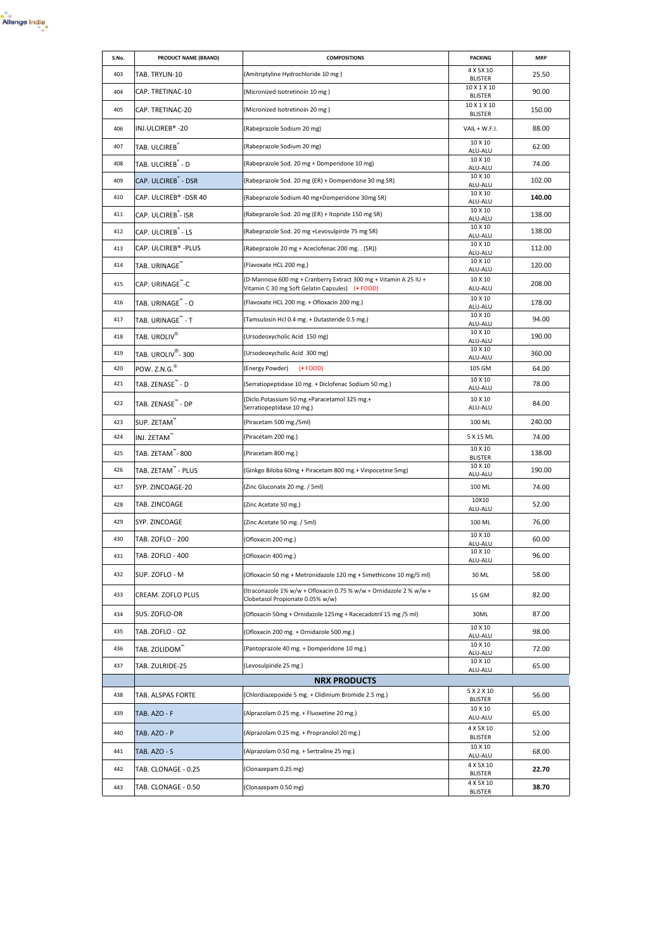| S.No. | PRODUCT NAME (BRAND)            | <b>COMPOSITIONS</b>                                                                                                 | <b>PACKING</b>                | <b>MRP</b> |
|-------|---------------------------------|---------------------------------------------------------------------------------------------------------------------|-------------------------------|------------|
| 403   | TAB. TRYLIN-10                  | (Amitriptyline Hydrochloride 10 mg)                                                                                 | 4 X 5 X 10<br><b>BLISTER</b>  | 25.50      |
| 404   | CAP. TRETINAC-10                | (Micronized Isotretinoin 10 mg)                                                                                     | 10 X 1 X 10<br><b>BLISTER</b> | 90.00      |
| 405   | CAP. TRETINAC-20                | (Micronized Isotretinoin 20 mg)                                                                                     | 10 X 1 X 10<br><b>BLISTER</b> | 150.00     |
| 406   | INJ.ULCIREB®-20                 | (Rabeprazole Sodium 20 mg)                                                                                          | VAIL + W.F.I.                 | 88.00      |
| 407   | TAB. ULCIREB <sup>®</sup>       | (Rabeprazole Sodium 20 mg)                                                                                          | 10 X 10<br>ALU-ALU            | 62.00      |
| 408   | TAB. ULCIREB <sup>®</sup> - D   | (Rabeprazole Sod. 20 mg + Domperidone 10 mg)                                                                        | 10 X 10<br>ALU-ALU            | 74.00      |
| 409   | CAP. ULCIREB <sup>®</sup> - DSR | (Rabeprazole Sod. 20 mg (ER) + Domperidone 30 mg SR)                                                                | 10 X 10<br>ALU-ALU            | 102.00     |
| 410   | CAP. ULCIREB® -DSR 40           | (Rabeprazole Sodium 40 mg+Domperidone 30mg SR)                                                                      | 10 X 10<br>ALU-ALU            | 140.00     |
| 411   | CAP. ULCIREB <sup>®</sup> - ISR | (Rabeprazole Sod. 20 mg (ER) + Itopride 150 mg SR)                                                                  | 10 X 10<br>ALU-ALU            | 138.00     |
| 412   | CAP. ULCIREB <sup>®</sup> - LS  | (Rabeprazole Sod. 20 mg +Levosulpirde 75 mg SR)                                                                     | 10 X 10<br>ALU-ALU            | 138.00     |
| 413   | CAP. ULCIREB® -PLUS             | (Rabeprazole 20 mg + Aceclofenac 200 mg. . (SR))                                                                    | 10 X 10<br>ALU-ALU            | 112.00     |
| 414   | TAB. URINAGE <sup>"</sup>       | (Flavoxate HCL 200 mg.)                                                                                             | 10 X 10<br>ALU-ALU            | 120.00     |
| 415   | CAP. URINAGE"-C                 | (D-Mannose 600 mg + Cranberry Extract 300 mg + Vitamin A 25 IU +<br>Vitamin C 30 mg Soft Gelatin Capsules) (. FOOD) | 10 X 10<br>ALU-ALU            | 208.00     |
| 416   | TAB. URINAGE <sup>"</sup> - O   | (Flavoxate HCL 200 mg. + Ofloxacin 200 mg.)                                                                         | 10 X 10<br>ALU-ALU            | 178.00     |
| 417   | TAB. URINAGE <sup>"</sup> - T   | (Tamsulosin Hcl 0.4 mg. + Dutasteride 0.5 mg.)                                                                      | 10 X 10<br>ALU-ALU            | 94.00      |
| 418   | TAB. UROLIV®                    | (Ursodeoxycholic Acid 150 mg)                                                                                       | 10 X 10<br>ALU-ALU            | 190.00     |
| 419   | TAB. UROLIV <sup>®</sup> -300   | (Ursodeoxycholic Acid 300 mg)                                                                                       | 10 X 10<br>ALU-ALU            | 360.00     |
| 420   | POW. Z.N.G. <sup>®</sup>        | (Energy Powder)<br>$(•$ FOOD)                                                                                       | 105 GM                        | 64.00      |
| 421   | TAB. ZENASE" - D                | (Serratiopeptidase 10 mg. + Diclofenac Sodium 50 mg.)                                                               | 10 X 10<br>ALU-ALU            | 78.00      |
| 422   | TAB. ZENASE" - DP               | (Diclo.Potassium 50 mg.+Paracetamol 325 mg.+<br>Serratiopeptidase 10 mg.)                                           | 10 X 10<br>ALU-ALU            | 84.00      |
| 423   | SUP. ZETAM <sup>"</sup>         | (Piracetam 500 mg./5ml)                                                                                             | 100 ML                        | 240.00     |
| 424   | INJ. ZETAM <sup>™</sup>         | (Piracetam 200 mg.)                                                                                                 | 5 X 15 ML                     | 74.00      |
| 425   | TAB. ZETAM <sup>"</sup> -800    | (Piracetam 800 mg.)                                                                                                 | 10 X 10<br><b>BLISTER</b>     | 138.00     |
| 426   | TAB. ZETAM " - PLUS             | (Ginkgo Biloba 60mg + Piracetam 800 mg.+ Vinpocetine 5mg)                                                           | 10 X 10<br>ALU-ALU            | 190.00     |
| 427   | SYP. ZINCOAGE-20                | (Zinc Gluconate 20 mg. / 5ml)                                                                                       | 100 ML                        | 74.00      |
| 428   | TAB. ZINCOAGE                   | (Zinc Acetate 50 mg.)                                                                                               | 10X10<br>ALU-ALU              | 52.00      |
| 429   | SYP. ZINCOAGE                   | (Zinc Acetate 50 mg. / 5ml)                                                                                         | 100 ML                        | 76.00      |
| 430   | TAB. ZOFLO - 200                | (Ofloxacin 200 mg.)                                                                                                 | 10 X 10<br>ALU-ALU            | 60.00      |
| 431   | TAB. ZOFLO - 400                | (Ofloxacin 400 mg.)                                                                                                 | 10 X 10<br>ALU-ALU            | 96.00      |
| 432   | SUP. ZOFLO - M                  | (Ofloxacin 50 mg + Metronidazole 120 mg + Simethicone 10 mg/5 ml)                                                   | 30 ML                         | 58.00      |
| 433   | CREAM. ZOFLO PLUS               | (Itraconazole 1% w/w + Ofloxacin 0.75 % w/w + Ornidazole 2 % w/w +<br>Clobetasol Propionate 0.05% w/w)              | 15 GM                         | 82.00      |
| 434   | SUS. ZOFLO-OR                   | (Ofloxacin 50mg + Ornidazole 125mg + Racecadotril 15 mg /5 ml)                                                      | 30ML                          | 87.00      |
| 435   | TAB. ZOFLO - OZ                 | (Ofloxacin 200 mg. + Ornidazole 500 mg.)                                                                            | 10 X 10<br>ALU-ALU            | 98.00      |
| 436   | TAB. ZOLIDOM <sup>"</sup>       | (Pantoprazole 40 mg. + Domperidone 10 mg.)                                                                          | 10 X 10<br>ALU-ALU            | 72.00      |
| 437   | TAB. ZULRIDE-25                 | (Levosulpiride 25 mg)                                                                                               | 10 X 10<br>ALU-ALU            | 65.00      |
|       |                                 | <b>NRX PRODUCTS</b>                                                                                                 |                               |            |
| 438   | TAB. ALSPAS FORTE               | (Chlordiazepoxide 5 mg. + Clidinium Bromide 2.5 mg.)                                                                | 5 X 2 X 10<br><b>BLISTER</b>  | 56.00      |
| 439   | TAB. AZO - F                    | (Alprazolam 0.25 mg. + Fluoxetine 20 mg.)                                                                           | 10 X 10<br>ALU-ALU            | 65.00      |
| 440   | TAB. AZO - P                    | (Alprazolam 0.25 mg. + Propranolol 20 mg.)                                                                          | 4 X 5 X 10<br><b>BLISTER</b>  | 52.00      |
| 441   | TAB. AZO - S                    | (Alprazolam 0.50 mg. + Sertraline 25 mg.)                                                                           | 10 X 10<br>ALU-ALU            | 68.00      |
| 442   | TAB. CLONAGE - 0.25             | (Clonazepam 0.25 mg)                                                                                                | 4 X 5 X 10                    | 22.70      |
| 443   | TAB. CLONAGE - 0.50             | (Clonazepam 0.50 mg)                                                                                                | <b>BLISTER</b><br>4 X 5 X 10  | 38.70      |
|       |                                 |                                                                                                                     | <b>BLISTER</b>                |            |